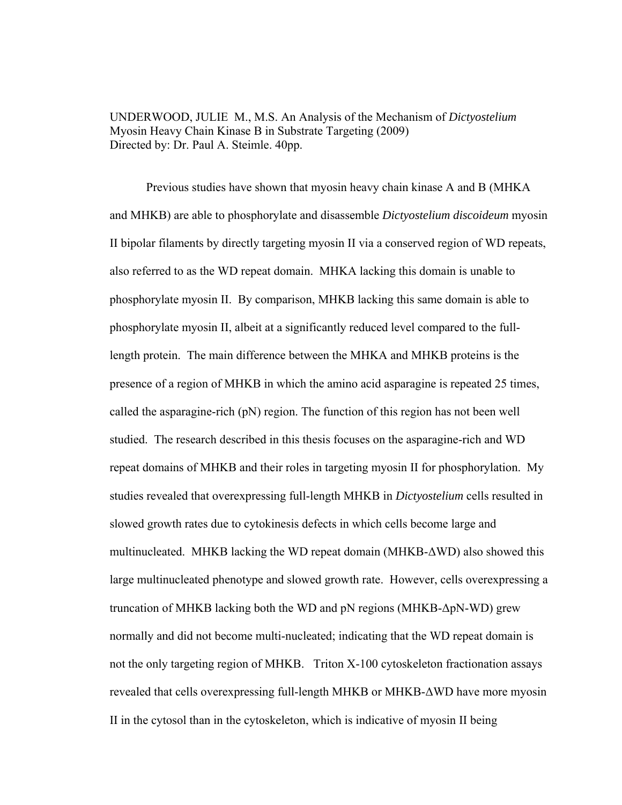UNDERWOOD, JULIE M., M.S. An Analysis of the Mechanism of *Dictyostelium* Myosin Heavy Chain Kinase B in Substrate Targeting (2009) Directed by: Dr. Paul A. Steimle. 40pp.

 Previous studies have shown that myosin heavy chain kinase A and B (MHKA and MHKB) are able to phosphorylate and disassemble *Dictyostelium discoideum* myosin II bipolar filaments by directly targeting myosin II via a conserved region of WD repeats, also referred to as the WD repeat domain. MHKA lacking this domain is unable to phosphorylate myosin II. By comparison, MHKB lacking this same domain is able to phosphorylate myosin II, albeit at a significantly reduced level compared to the fulllength protein. The main difference between the MHKA and MHKB proteins is the presence of a region of MHKB in which the amino acid asparagine is repeated 25 times, called the asparagine-rich (pN) region. The function of this region has not been well studied. The research described in this thesis focuses on the asparagine-rich and WD repeat domains of MHKB and their roles in targeting myosin II for phosphorylation. My studies revealed that overexpressing full-length MHKB in *Dictyostelium* cells resulted in slowed growth rates due to cytokinesis defects in which cells become large and multinucleated. MHKB lacking the WD repeat domain (MHKB-ΔWD) also showed this large multinucleated phenotype and slowed growth rate. However, cells overexpressing a truncation of MHKB lacking both the WD and pN regions (MHKB-ΔpN-WD) grew normally and did not become multi-nucleated; indicating that the WD repeat domain is not the only targeting region of MHKB. Triton X-100 cytoskeleton fractionation assays revealed that cells overexpressing full-length MHKB or MHKB-ΔWD have more myosin II in the cytosol than in the cytoskeleton, which is indicative of myosin II being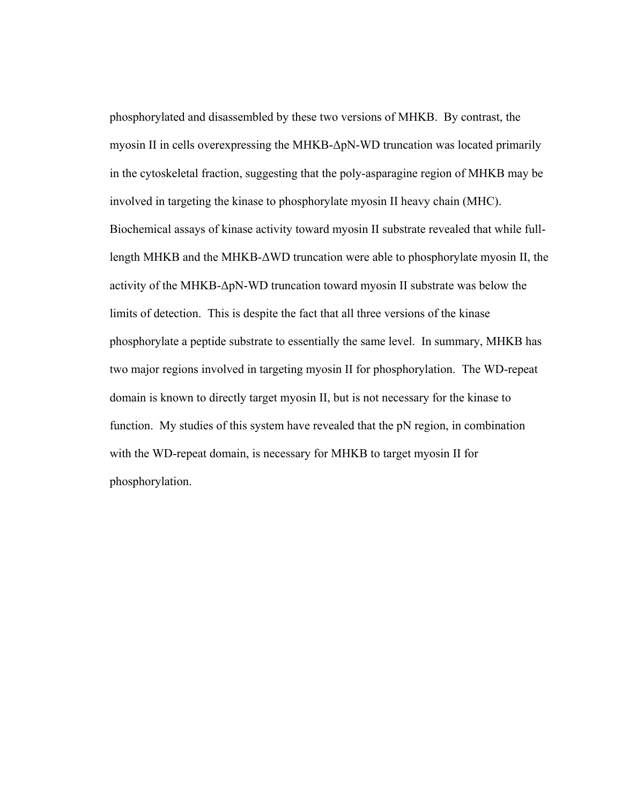phosphorylated and disassembled by these two versions of MHKB. By contrast, the myosin II in cells overexpressing the MHKB-ΔpN-WD truncation was located primarily in the cytoskeletal fraction, suggesting that the poly-asparagine region of MHKB may be involved in targeting the kinase to phosphorylate myosin II heavy chain (MHC). Biochemical assays of kinase activity toward myosin II substrate revealed that while fulllength MHKB and the MHKB-ΔWD truncation were able to phosphorylate myosin II, the activity of the MHKB-ΔpN-WD truncation toward myosin II substrate was below the limits of detection. This is despite the fact that all three versions of the kinase phosphorylate a peptide substrate to essentially the same level. In summary, MHKB has two major regions involved in targeting myosin II for phosphorylation. The WD-repeat domain is known to directly target myosin II, but is not necessary for the kinase to function. My studies of this system have revealed that the pN region, in combination with the WD-repeat domain, is necessary for MHKB to target myosin II for phosphorylation.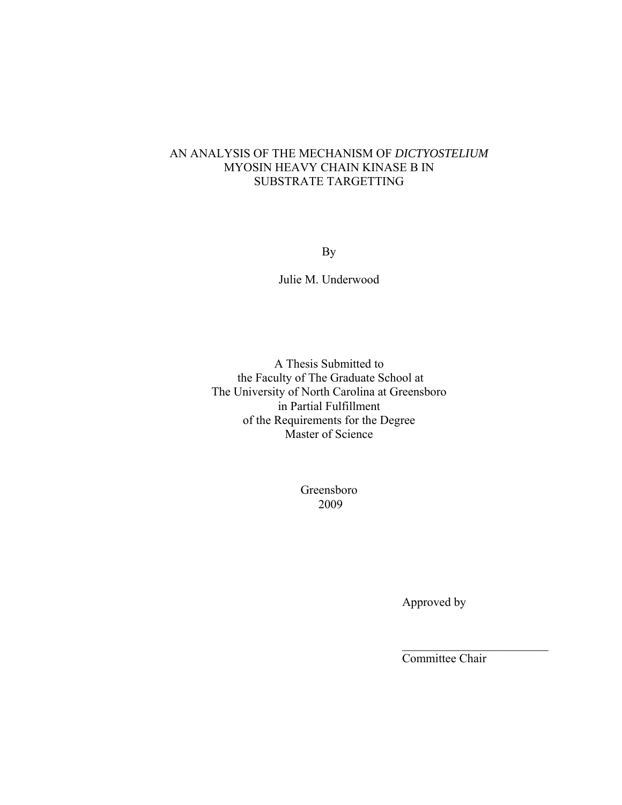# AN ANALYSIS OF THE MECHANISM OF *DICTYOSTELIUM*  MYOSIN HEAVY CHAIN KINASE B IN SUBSTRATE TARGETTING

By

Julie M. Underwood

A Thesis Submitted to the Faculty of The Graduate School at The University of North Carolina at Greensboro in Partial Fulfillment of the Requirements for the Degree Master of Science

> Greensboro 2009

> > Approved by

Committee Chair

 $\frac{1}{2}$  ,  $\frac{1}{2}$  ,  $\frac{1}{2}$  ,  $\frac{1}{2}$  ,  $\frac{1}{2}$  ,  $\frac{1}{2}$  ,  $\frac{1}{2}$  ,  $\frac{1}{2}$  ,  $\frac{1}{2}$  ,  $\frac{1}{2}$  ,  $\frac{1}{2}$  ,  $\frac{1}{2}$  ,  $\frac{1}{2}$  ,  $\frac{1}{2}$  ,  $\frac{1}{2}$  ,  $\frac{1}{2}$  ,  $\frac{1}{2}$  ,  $\frac{1}{2}$  ,  $\frac{1$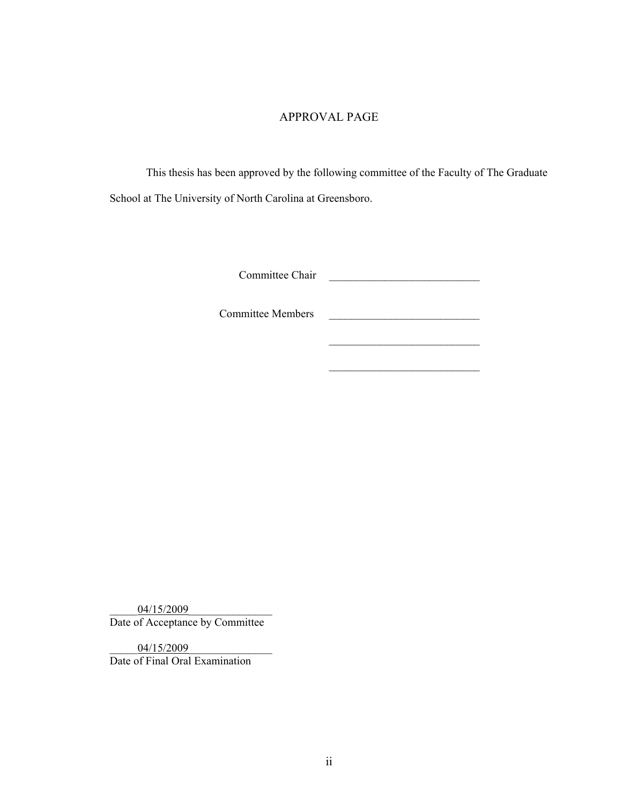## APPROVAL PAGE

This thesis has been approved by the following committee of the Faculty of The Graduate School at The University of North Carolina at Greensboro.

 $\mathcal{L}_\text{max}$  and  $\mathcal{L}_\text{max}$  and  $\mathcal{L}_\text{max}$  and  $\mathcal{L}_\text{max}$ 

 $\mathcal{L}_\text{max}$  and  $\mathcal{L}_\text{max}$  and  $\mathcal{L}_\text{max}$  and  $\mathcal{L}_\text{max}$ 

Committee Chair \_\_\_\_\_\_\_\_\_\_\_\_\_\_\_\_\_\_\_\_\_\_\_\_\_\_\_

Committee Members \_\_\_\_\_\_\_\_\_\_\_\_\_\_\_\_\_\_\_\_\_\_\_\_\_\_\_

04/15/2009 Date of Acceptance by Committee

04/15/2009 Date of Final Oral Examination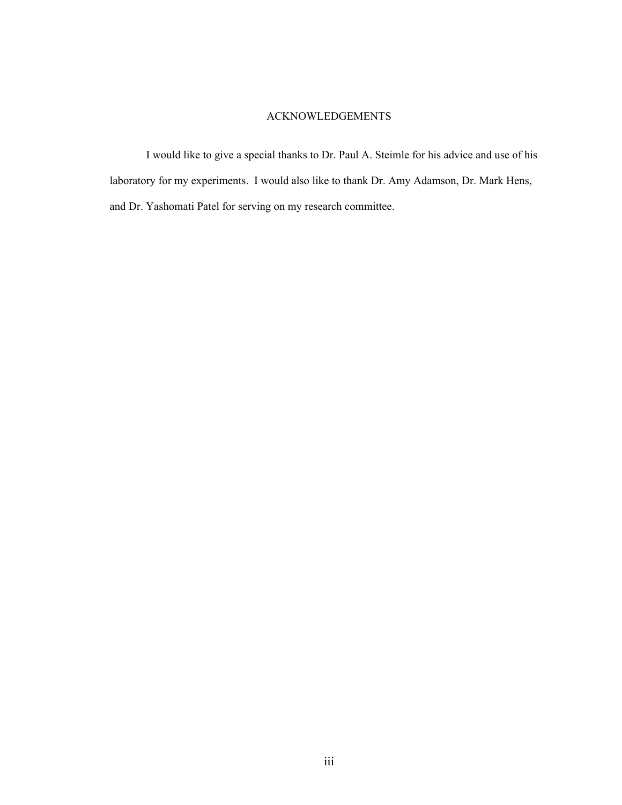### ACKNOWLEDGEMENTS

 I would like to give a special thanks to Dr. Paul A. Steimle for his advice and use of his laboratory for my experiments. I would also like to thank Dr. Amy Adamson, Dr. Mark Hens, and Dr. Yashomati Patel for serving on my research committee.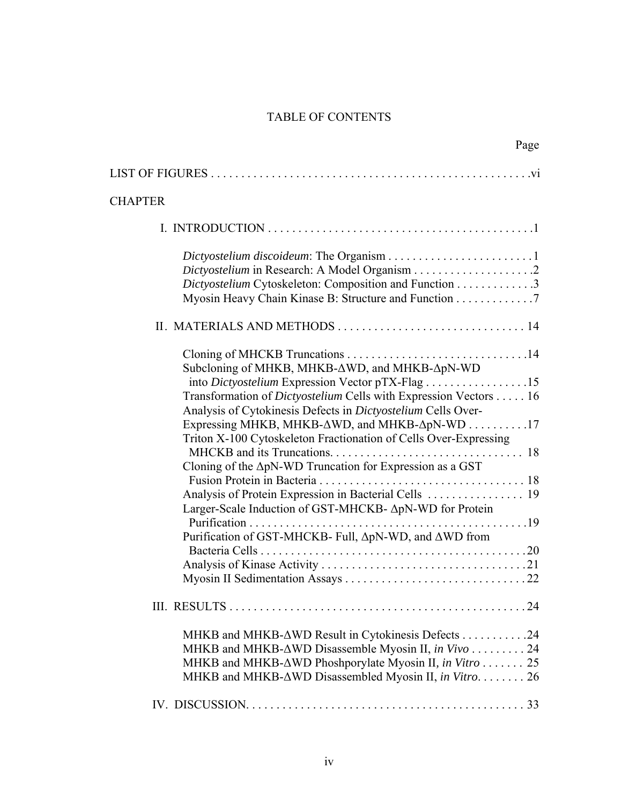# TABLE OF CONTENTS

| Page                                                                                                                                                                                                                                                                                                                                                                                                                                                                                                                  |
|-----------------------------------------------------------------------------------------------------------------------------------------------------------------------------------------------------------------------------------------------------------------------------------------------------------------------------------------------------------------------------------------------------------------------------------------------------------------------------------------------------------------------|
|                                                                                                                                                                                                                                                                                                                                                                                                                                                                                                                       |
| <b>CHAPTER</b>                                                                                                                                                                                                                                                                                                                                                                                                                                                                                                        |
|                                                                                                                                                                                                                                                                                                                                                                                                                                                                                                                       |
| Dictyostelium Cytoskeleton: Composition and Function 3<br>Myosin Heavy Chain Kinase B: Structure and Function 7                                                                                                                                                                                                                                                                                                                                                                                                       |
|                                                                                                                                                                                                                                                                                                                                                                                                                                                                                                                       |
| Subcloning of MHKB, MHKB-∆WD, and MHKB-∆pN-WD<br>Transformation of <i>Dictyostelium</i> Cells with Expression Vectors 16<br>Analysis of Cytokinesis Defects in Dictyostelium Cells Over-<br>Expressing MHKB, MHKB-ΔWD, and MHKB-ΔpN-WD 17<br>Triton X-100 Cytoskeleton Fractionation of Cells Over-Expressing<br>Cloning of the ApN-WD Truncation for Expression as a GST<br>Larger-Scale Induction of GST-MHCKB- ApN-WD for Protein<br>Purification<br>. 19<br>Purification of GST-MHCKB- Full, ΔpN-WD, and ΔWD from |
|                                                                                                                                                                                                                                                                                                                                                                                                                                                                                                                       |
| MHKB and MHKB-∆WD Result in Cytokinesis Defects 24<br>MHKB and MHKB-∆WD Disassemble Myosin II, in Vivo 24<br>MHKB and MHKB-∆WD Phoshporylate Myosin II, in Vitro 25<br>MHKB and MHKB-∆WD Disassembled Myosin II, in Vitro. 26                                                                                                                                                                                                                                                                                         |
|                                                                                                                                                                                                                                                                                                                                                                                                                                                                                                                       |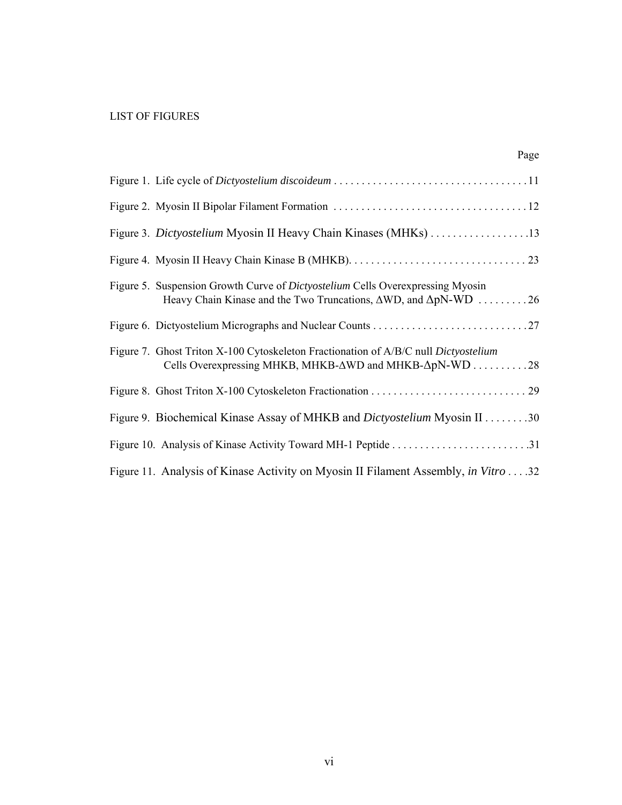## LIST OF FIGURES

| Page                                                                                                                                                                           |
|--------------------------------------------------------------------------------------------------------------------------------------------------------------------------------|
|                                                                                                                                                                                |
|                                                                                                                                                                                |
|                                                                                                                                                                                |
|                                                                                                                                                                                |
| Figure 5. Suspension Growth Curve of <i>Dictyostelium</i> Cells Overexpressing Myosin<br>Heavy Chain Kinase and the Two Truncations, $\triangle WD$ , and $\triangle pN-WD$ 26 |
|                                                                                                                                                                                |
| Figure 7. Ghost Triton X-100 Cytoskeleton Fractionation of A/B/C null Dictyostelium<br>Cells Overexpressing MHKB, MHKB-∆WD and MHKB-∆pN-WD 28                                  |
|                                                                                                                                                                                |
| Figure 9. Biochemical Kinase Assay of MHKB and <i>Dictyostelium</i> Myosin II 30                                                                                               |
|                                                                                                                                                                                |
| Figure 11. Analysis of Kinase Activity on Myosin II Filament Assembly, in Vitro 32                                                                                             |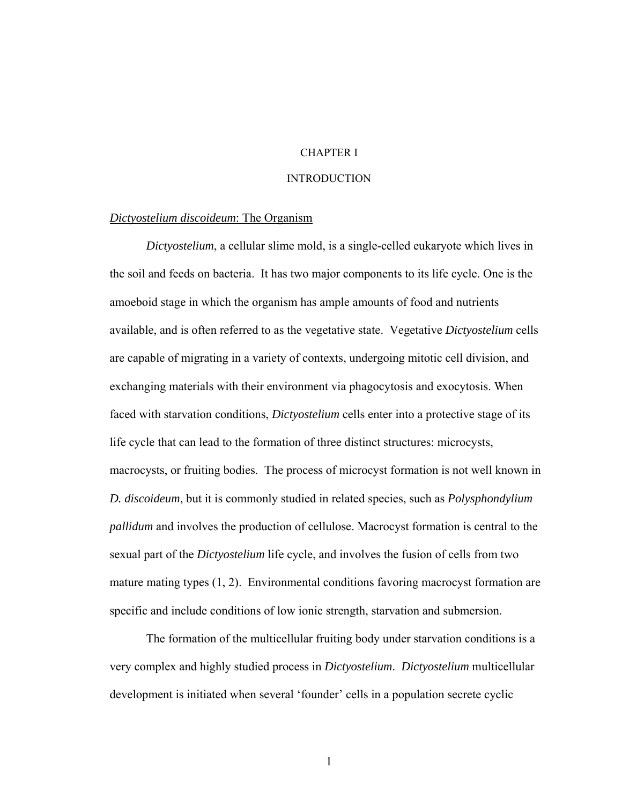## CHAPTER I

## **INTRODUCTION**

#### *Dictyostelium discoideum*: The Organism

*Dictyostelium*, a cellular slime mold, is a single-celled eukaryote which lives in the soil and feeds on bacteria. It has two major components to its life cycle. One is the amoeboid stage in which the organism has ample amounts of food and nutrients available, and is often referred to as the vegetative state. Vegetative *Dictyostelium* cells are capable of migrating in a variety of contexts, undergoing mitotic cell division, and exchanging materials with their environment via phagocytosis and exocytosis. When faced with starvation conditions, *Dictyostelium* cells enter into a protective stage of its life cycle that can lead to the formation of three distinct structures: microcysts, macrocysts, or fruiting bodies. The process of microcyst formation is not well known in *D. discoideum*, but it is commonly studied in related species, such as *Polysphondylium pallidum* and involves the production of cellulose. Macrocyst formation is central to the sexual part of the *Dictyostelium* life cycle, and involves the fusion of cells from two mature mating types (1, 2). Environmental conditions favoring macrocyst formation are specific and include conditions of low ionic strength, starvation and submersion.

The formation of the multicellular fruiting body under starvation conditions is a very complex and highly studied process in *Dictyostelium*. *Dictyostelium* multicellular development is initiated when several 'founder' cells in a population secrete cyclic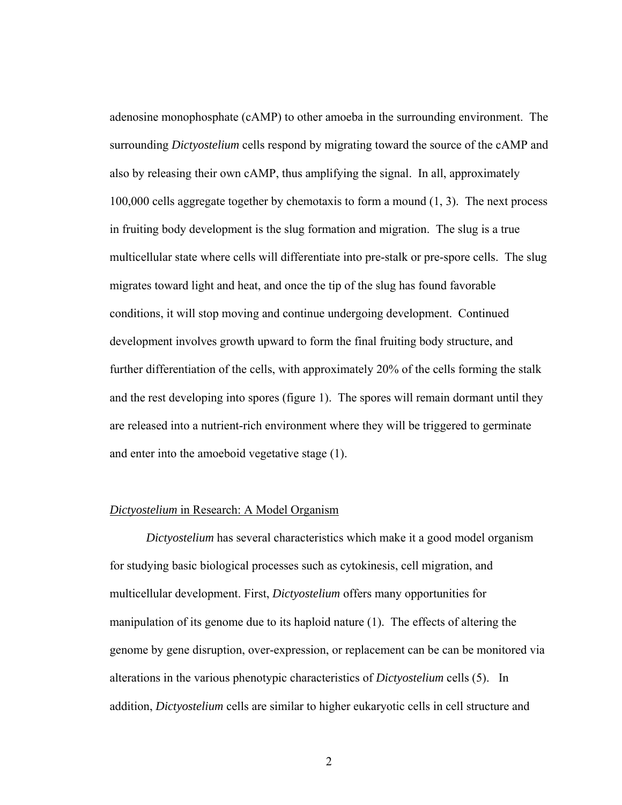adenosine monophosphate (cAMP) to other amoeba in the surrounding environment. The surrounding *Dictyostelium* cells respond by migrating toward the source of the cAMP and also by releasing their own cAMP, thus amplifying the signal. In all, approximately 100,000 cells aggregate together by chemotaxis to form a mound (1, 3). The next process in fruiting body development is the slug formation and migration. The slug is a true multicellular state where cells will differentiate into pre-stalk or pre-spore cells. The slug migrates toward light and heat, and once the tip of the slug has found favorable conditions, it will stop moving and continue undergoing development. Continued development involves growth upward to form the final fruiting body structure, and further differentiation of the cells, with approximately 20% of the cells forming the stalk and the rest developing into spores (figure 1). The spores will remain dormant until they are released into a nutrient-rich environment where they will be triggered to germinate and enter into the amoeboid vegetative stage (1).

#### *Dictyostelium* in Research: A Model Organism

*Dictyostelium* has several characteristics which make it a good model organism for studying basic biological processes such as cytokinesis, cell migration, and multicellular development. First, *Dictyostelium* offers many opportunities for manipulation of its genome due to its haploid nature (1). The effects of altering the genome by gene disruption, over-expression, or replacement can be can be monitored via alterations in the various phenotypic characteristics of *Dictyostelium* cells (5). In addition, *Dictyostelium* cells are similar to higher eukaryotic cells in cell structure and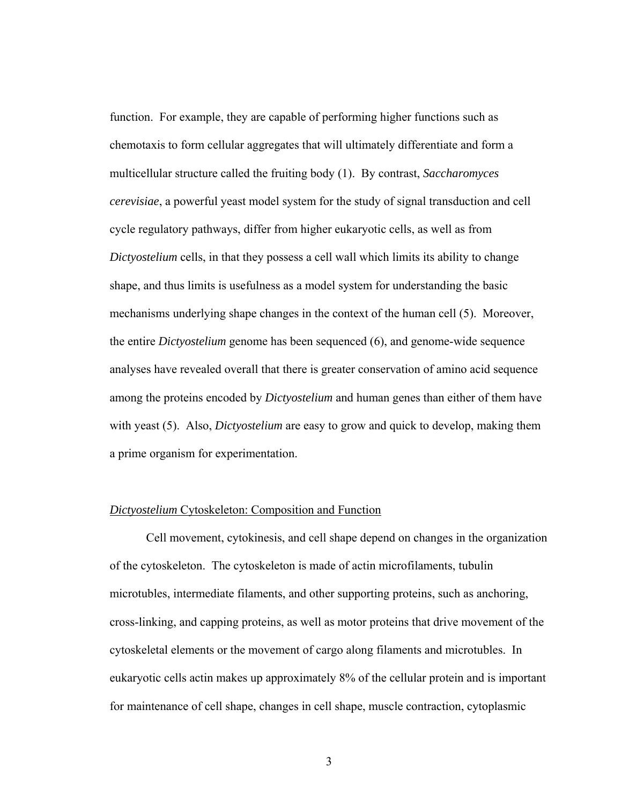function. For example, they are capable of performing higher functions such as chemotaxis to form cellular aggregates that will ultimately differentiate and form a multicellular structure called the fruiting body (1). By contrast, *Saccharomyces cerevisiae*, a powerful yeast model system for the study of signal transduction and cell cycle regulatory pathways, differ from higher eukaryotic cells, as well as from *Dictyostelium* cells, in that they possess a cell wall which limits its ability to change shape, and thus limits is usefulness as a model system for understanding the basic mechanisms underlying shape changes in the context of the human cell (5). Moreover, the entire *Dictyostelium* genome has been sequenced (6), and genome-wide sequence analyses have revealed overall that there is greater conservation of amino acid sequence among the proteins encoded by *Dictyostelium* and human genes than either of them have with yeast (5). Also, *Dictyostelium* are easy to grow and quick to develop, making them a prime organism for experimentation.

#### *Dictyostelium* Cytoskeleton: Composition and Function

 Cell movement, cytokinesis, and cell shape depend on changes in the organization of the cytoskeleton. The cytoskeleton is made of actin microfilaments, tubulin microtubles, intermediate filaments, and other supporting proteins, such as anchoring, cross-linking, and capping proteins, as well as motor proteins that drive movement of the cytoskeletal elements or the movement of cargo along filaments and microtubles. In eukaryotic cells actin makes up approximately 8% of the cellular protein and is important for maintenance of cell shape, changes in cell shape, muscle contraction, cytoplasmic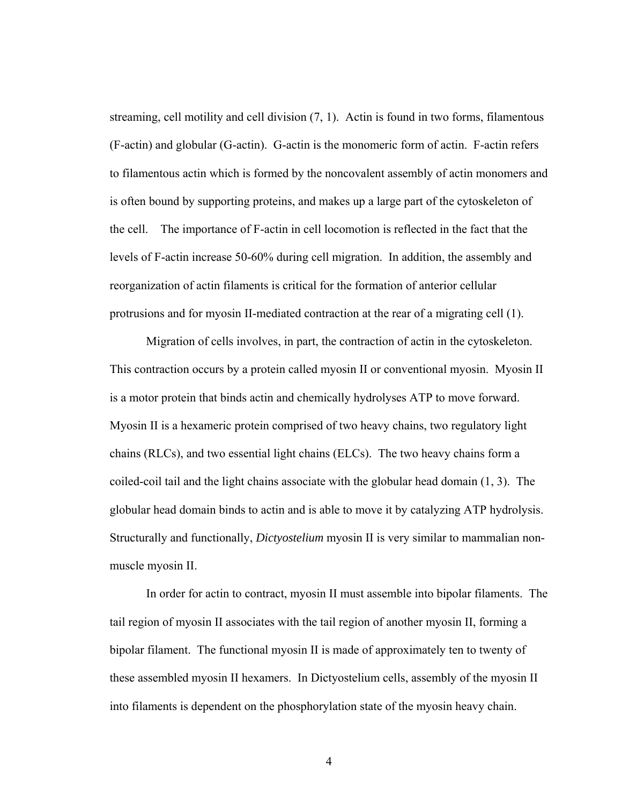streaming, cell motility and cell division (7, 1). Actin is found in two forms, filamentous (F-actin) and globular (G-actin). G-actin is the monomeric form of actin. F-actin refers to filamentous actin which is formed by the noncovalent assembly of actin monomers and is often bound by supporting proteins, and makes up a large part of the cytoskeleton of the cell. The importance of F-actin in cell locomotion is reflected in the fact that the levels of F-actin increase 50-60% during cell migration. In addition, the assembly and reorganization of actin filaments is critical for the formation of anterior cellular protrusions and for myosin II-mediated contraction at the rear of a migrating cell (1).

 Migration of cells involves, in part, the contraction of actin in the cytoskeleton. This contraction occurs by a protein called myosin II or conventional myosin. Myosin II is a motor protein that binds actin and chemically hydrolyses ATP to move forward. Myosin II is a hexameric protein comprised of two heavy chains, two regulatory light chains (RLCs), and two essential light chains (ELCs). The two heavy chains form a coiled-coil tail and the light chains associate with the globular head domain (1, 3). The globular head domain binds to actin and is able to move it by catalyzing ATP hydrolysis. Structurally and functionally, *Dictyostelium* myosin II is very similar to mammalian nonmuscle myosin II.

In order for actin to contract, myosin II must assemble into bipolar filaments. The tail region of myosin II associates with the tail region of another myosin II, forming a bipolar filament. The functional myosin II is made of approximately ten to twenty of these assembled myosin II hexamers. In Dictyostelium cells, assembly of the myosin II into filaments is dependent on the phosphorylation state of the myosin heavy chain.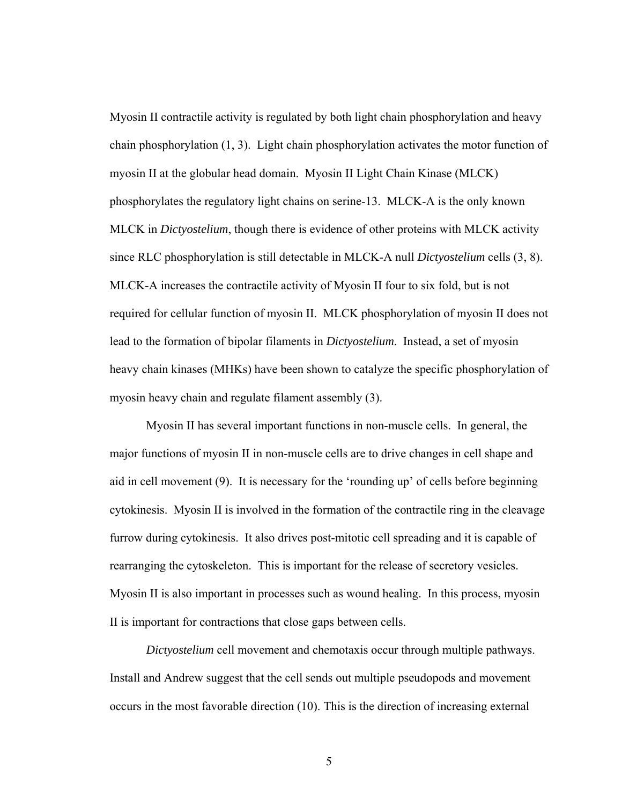Myosin II contractile activity is regulated by both light chain phosphorylation and heavy chain phosphorylation (1, 3). Light chain phosphorylation activates the motor function of myosin II at the globular head domain. Myosin II Light Chain Kinase (MLCK) phosphorylates the regulatory light chains on serine-13. MLCK-A is the only known MLCK in *Dictyostelium*, though there is evidence of other proteins with MLCK activity since RLC phosphorylation is still detectable in MLCK-A null *Dictyostelium* cells (3, 8). MLCK-A increases the contractile activity of Myosin II four to six fold, but is not required for cellular function of myosin II. MLCK phosphorylation of myosin II does not lead to the formation of bipolar filaments in *Dictyostelium*. Instead, a set of myosin heavy chain kinases (MHKs) have been shown to catalyze the specific phosphorylation of myosin heavy chain and regulate filament assembly (3).

Myosin II has several important functions in non-muscle cells. In general, the major functions of myosin II in non-muscle cells are to drive changes in cell shape and aid in cell movement (9). It is necessary for the 'rounding up' of cells before beginning cytokinesis. Myosin II is involved in the formation of the contractile ring in the cleavage furrow during cytokinesis. It also drives post-mitotic cell spreading and it is capable of rearranging the cytoskeleton. This is important for the release of secretory vesicles. Myosin II is also important in processes such as wound healing. In this process, myosin II is important for contractions that close gaps between cells.

*Dictyostelium* cell movement and chemotaxis occur through multiple pathways. Install and Andrew suggest that the cell sends out multiple pseudopods and movement occurs in the most favorable direction (10). This is the direction of increasing external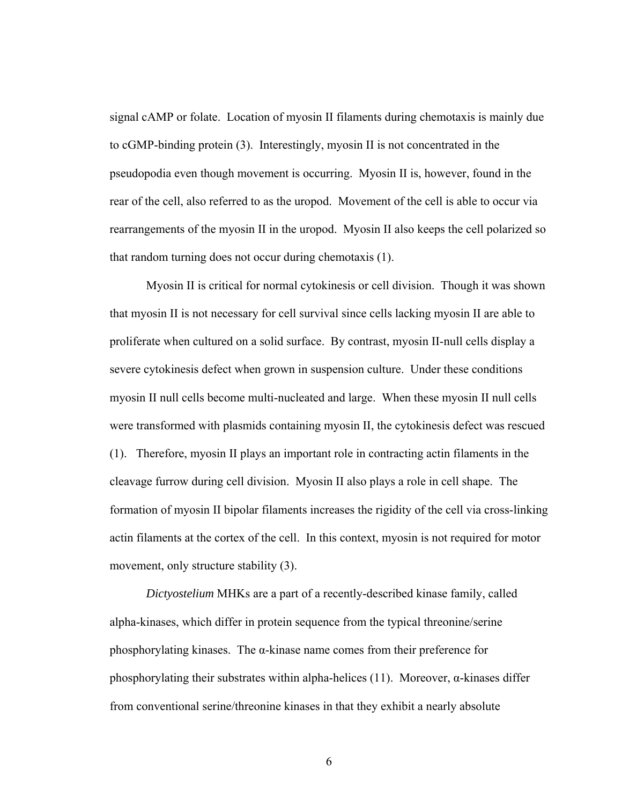signal cAMP or folate. Location of myosin II filaments during chemotaxis is mainly due to cGMP-binding protein (3). Interestingly, myosin II is not concentrated in the pseudopodia even though movement is occurring. Myosin II is, however, found in the rear of the cell, also referred to as the uropod. Movement of the cell is able to occur via rearrangements of the myosin II in the uropod. Myosin II also keeps the cell polarized so that random turning does not occur during chemotaxis (1).

 Myosin II is critical for normal cytokinesis or cell division. Though it was shown that myosin II is not necessary for cell survival since cells lacking myosin II are able to proliferate when cultured on a solid surface. By contrast, myosin II-null cells display a severe cytokinesis defect when grown in suspension culture. Under these conditions myosin II null cells become multi-nucleated and large. When these myosin II null cells were transformed with plasmids containing myosin II, the cytokinesis defect was rescued (1). Therefore, myosin II plays an important role in contracting actin filaments in the cleavage furrow during cell division. Myosin II also plays a role in cell shape. The formation of myosin II bipolar filaments increases the rigidity of the cell via cross-linking actin filaments at the cortex of the cell. In this context, myosin is not required for motor movement, only structure stability (3).

*Dictyostelium* MHKs are a part of a recently-described kinase family, called alpha-kinases, which differ in protein sequence from the typical threonine/serine phosphorylating kinases. The α-kinase name comes from their preference for phosphorylating their substrates within alpha-helices (11). Moreover,  $\alpha$ -kinases differ from conventional serine/threonine kinases in that they exhibit a nearly absolute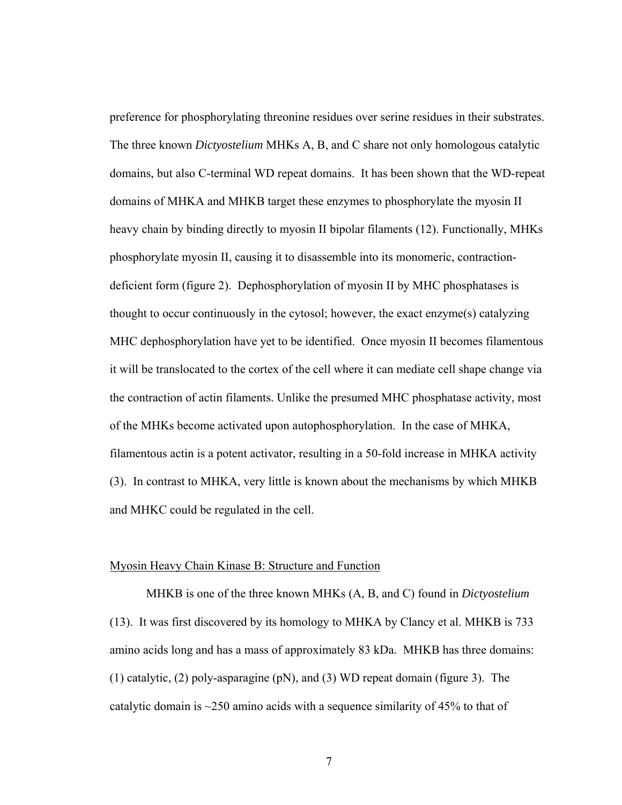preference for phosphorylating threonine residues over serine residues in their substrates. The three known *Dictyostelium* MHKs A, B, and C share not only homologous catalytic domains, but also C-terminal WD repeat domains. It has been shown that the WD-repeat domains of MHKA and MHKB target these enzymes to phosphorylate the myosin II heavy chain by binding directly to myosin II bipolar filaments (12). Functionally, MHKs phosphorylate myosin II, causing it to disassemble into its monomeric, contractiondeficient form (figure 2). Dephosphorylation of myosin II by MHC phosphatases is thought to occur continuously in the cytosol; however, the exact enzyme(s) catalyzing MHC dephosphorylation have yet to be identified. Once myosin II becomes filamentous it will be translocated to the cortex of the cell where it can mediate cell shape change via the contraction of actin filaments. Unlike the presumed MHC phosphatase activity, most of the MHKs become activated upon autophosphorylation. In the case of MHKA, filamentous actin is a potent activator, resulting in a 50-fold increase in MHKA activity (3). In contrast to MHKA, very little is known about the mechanisms by which MHKB and MHKC could be regulated in the cell.

### Myosin Heavy Chain Kinase B: Structure and Function

MHKB is one of the three known MHKs (A, B, and C) found in *Dictyostelium* (13). It was first discovered by its homology to MHKA by Clancy et al. MHKB is 733 amino acids long and has a mass of approximately 83 kDa. MHKB has three domains: (1) catalytic, (2) poly-asparagine (pN), and (3) WD repeat domain (figure 3). The catalytic domain is  $\sim$ 250 amino acids with a sequence similarity of 45% to that of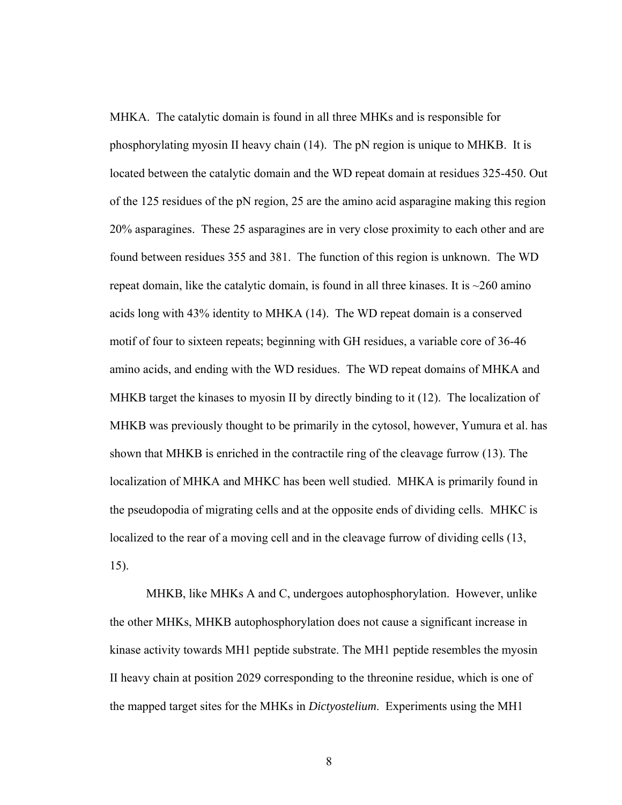MHKA. The catalytic domain is found in all three MHKs and is responsible for phosphorylating myosin II heavy chain (14). The pN region is unique to MHKB. It is located between the catalytic domain and the WD repeat domain at residues 325-450. Out of the 125 residues of the pN region, 25 are the amino acid asparagine making this region 20% asparagines. These 25 asparagines are in very close proximity to each other and are found between residues 355 and 381. The function of this region is unknown. The WD repeat domain, like the catalytic domain, is found in all three kinases. It is  $\sim$ 260 amino acids long with 43% identity to MHKA (14). The WD repeat domain is a conserved motif of four to sixteen repeats; beginning with GH residues, a variable core of 36-46 amino acids, and ending with the WD residues. The WD repeat domains of MHKA and MHKB target the kinases to myosin II by directly binding to it (12). The localization of MHKB was previously thought to be primarily in the cytosol, however, Yumura et al. has shown that MHKB is enriched in the contractile ring of the cleavage furrow (13). The localization of MHKA and MHKC has been well studied. MHKA is primarily found in the pseudopodia of migrating cells and at the opposite ends of dividing cells. MHKC is localized to the rear of a moving cell and in the cleavage furrow of dividing cells (13, 15).

MHKB, like MHKs A and C, undergoes autophosphorylation. However, unlike the other MHKs, MHKB autophosphorylation does not cause a significant increase in kinase activity towards MH1 peptide substrate. The MH1 peptide resembles the myosin II heavy chain at position 2029 corresponding to the threonine residue, which is one of the mapped target sites for the MHKs in *Dictyostelium*. Experiments using the MH1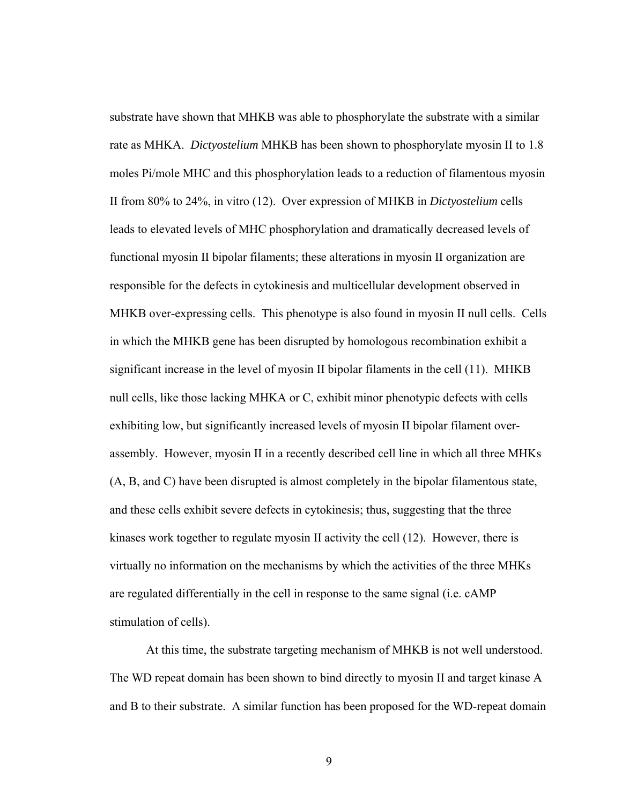substrate have shown that MHKB was able to phosphorylate the substrate with a similar rate as MHKA. *Dictyostelium* MHKB has been shown to phosphorylate myosin II to 1.8 moles Pi/mole MHC and this phosphorylation leads to a reduction of filamentous myosin II from 80% to 24%, in vitro (12). Over expression of MHKB in *Dictyostelium* cells leads to elevated levels of MHC phosphorylation and dramatically decreased levels of functional myosin II bipolar filaments; these alterations in myosin II organization are responsible for the defects in cytokinesis and multicellular development observed in MHKB over-expressing cells. This phenotype is also found in myosin II null cells. Cells in which the MHKB gene has been disrupted by homologous recombination exhibit a significant increase in the level of myosin II bipolar filaments in the cell (11). MHKB null cells, like those lacking MHKA or C, exhibit minor phenotypic defects with cells exhibiting low, but significantly increased levels of myosin II bipolar filament overassembly. However, myosin II in a recently described cell line in which all three MHKs (A, B, and C) have been disrupted is almost completely in the bipolar filamentous state, and these cells exhibit severe defects in cytokinesis; thus, suggesting that the three kinases work together to regulate myosin II activity the cell (12). However, there is virtually no information on the mechanisms by which the activities of the three MHKs are regulated differentially in the cell in response to the same signal (i.e. cAMP stimulation of cells).

At this time, the substrate targeting mechanism of MHKB is not well understood. The WD repeat domain has been shown to bind directly to myosin II and target kinase A and B to their substrate. A similar function has been proposed for the WD-repeat domain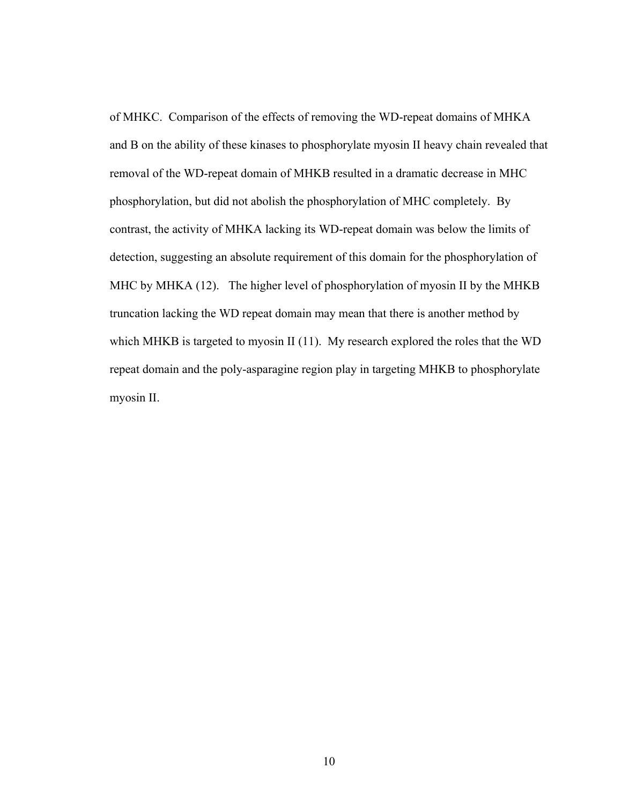of MHKC. Comparison of the effects of removing the WD-repeat domains of MHKA and B on the ability of these kinases to phosphorylate myosin II heavy chain revealed that removal of the WD-repeat domain of MHKB resulted in a dramatic decrease in MHC phosphorylation, but did not abolish the phosphorylation of MHC completely. By contrast, the activity of MHKA lacking its WD-repeat domain was below the limits of detection, suggesting an absolute requirement of this domain for the phosphorylation of MHC by MHKA (12). The higher level of phosphorylation of myosin II by the MHKB truncation lacking the WD repeat domain may mean that there is another method by which MHKB is targeted to myosin II (11). My research explored the roles that the WD repeat domain and the poly-asparagine region play in targeting MHKB to phosphorylate myosin II.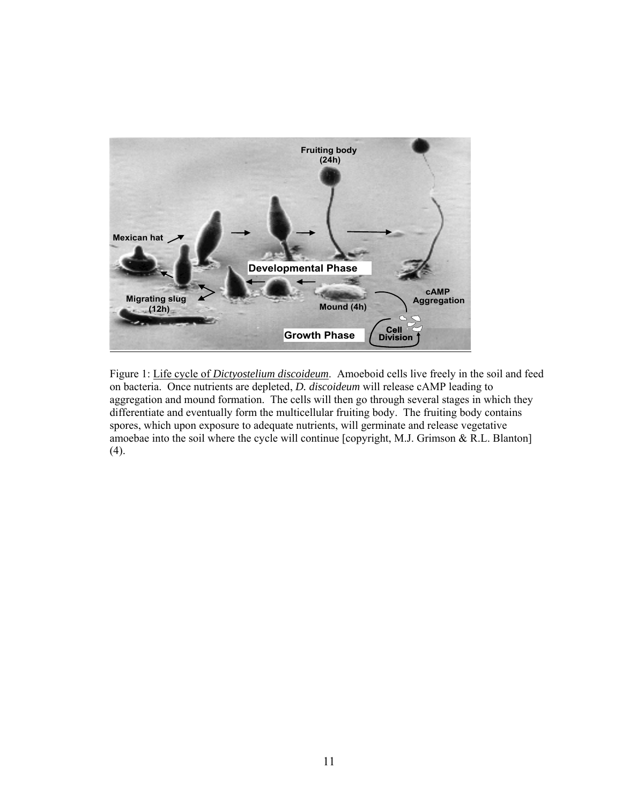

Figure 1: Life cycle of *Dictyostelium discoideum*. Amoeboid cells live freely in the soil and feed on bacteria. Once nutrients are depleted, *D. discoideum* will release cAMP leading to aggregation and mound formation. The cells will then go through several stages in which they differentiate and eventually form the multicellular fruiting body. The fruiting body contains spores, which upon exposure to adequate nutrients, will germinate and release vegetative amoebae into the soil where the cycle will continue [copyright, M.J. Grimson & R.L. Blanton] (4).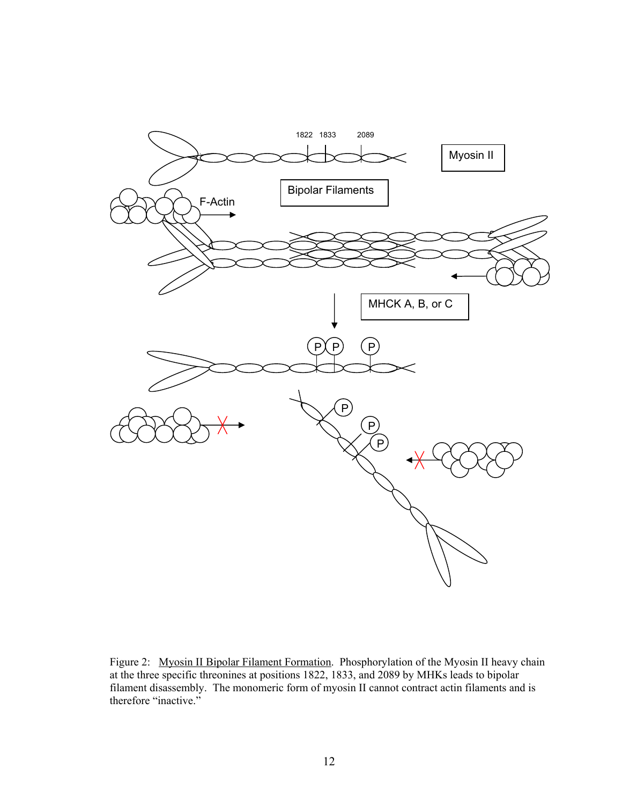

Figure 2: Myosin II Bipolar Filament Formation. Phosphorylation of the Myosin II heavy chain at the three specific threonines at positions 1822, 1833, and 2089 by MHKs leads to bipolar filament disassembly. The monomeric form of myosin II cannot contract actin filaments and is therefore "inactive."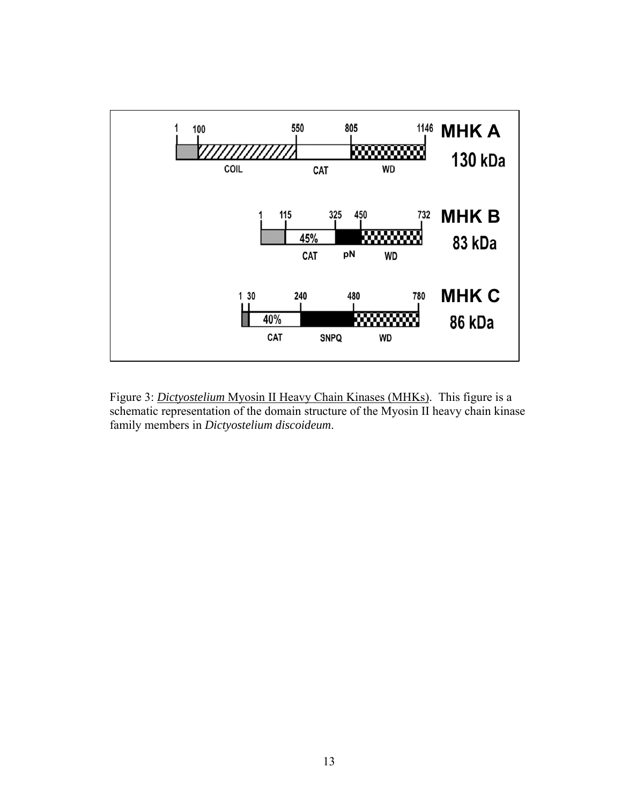

Figure 3: *Dictyostelium* Myosin II Heavy Chain Kinases (MHKs). This figure is a schematic representation of the domain structure of the Myosin II heavy chain kinase family members in *Dictyostelium discoideum*.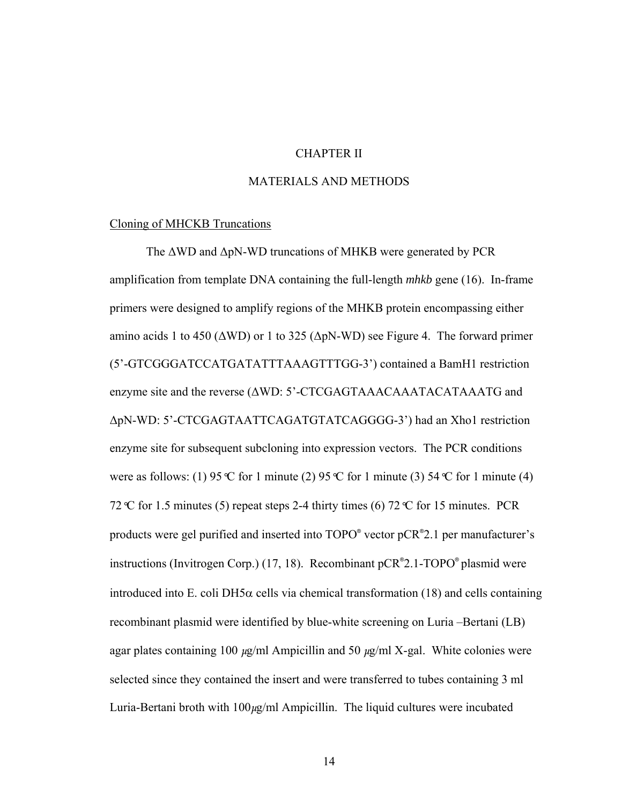## CHAPTER II

## MATERIALS AND METHODS

#### Cloning of MHCKB Truncations

 The ΔWD and ΔpN-WD truncations of MHKB were generated by PCR amplification from template DNA containing the full-length *mhkb* gene (16). In-frame primers were designed to amplify regions of the MHKB protein encompassing either amino acids 1 to 450 ( $\triangle WD$ ) or 1 to 325 ( $\triangle pN-WD$ ) see Figure 4. The forward primer (5'-GTCGGGATCCATGATATTTAAAGTTTGG-3') contained a BamH1 restriction enzyme site and the reverse (ΔWD: 5'-CTCGAGTAAACAAATACATAAATG and ΔpN-WD: 5'-CTCGAGTAATTCAGATGTATCAGGGG-3') had an Xho1 restriction enzyme site for subsequent subcloning into expression vectors. The PCR conditions were as follows: (1) 95  $\mathbb C$  for 1 minute (2) 95  $\mathbb C$  for 1 minute (3) 54  $\mathbb C$  for 1 minute (4) 72*°*C for 1.5 minutes (5) repeat steps 2-4 thirty times (6) 72*°*C for 15 minutes. PCR products were gel purified and inserted into TOPO® vector pCR® 2.1 per manufacturer's instructions (Invitrogen Corp.) (17, 18). Recombinant pCR® 2.1-TOPO® plasmid were introduced into E. coli DH5 $\alpha$  cells via chemical transformation (18) and cells containing recombinant plasmid were identified by blue-white screening on Luria –Bertani (LB) agar plates containing 100  $\mu$ g/ml Ampicillin and 50  $\mu$ g/ml X-gal. White colonies were selected since they contained the insert and were transferred to tubes containing 3 ml Luria-Bertani broth with  $100\mu g/ml$  Ampicillin. The liquid cultures were incubated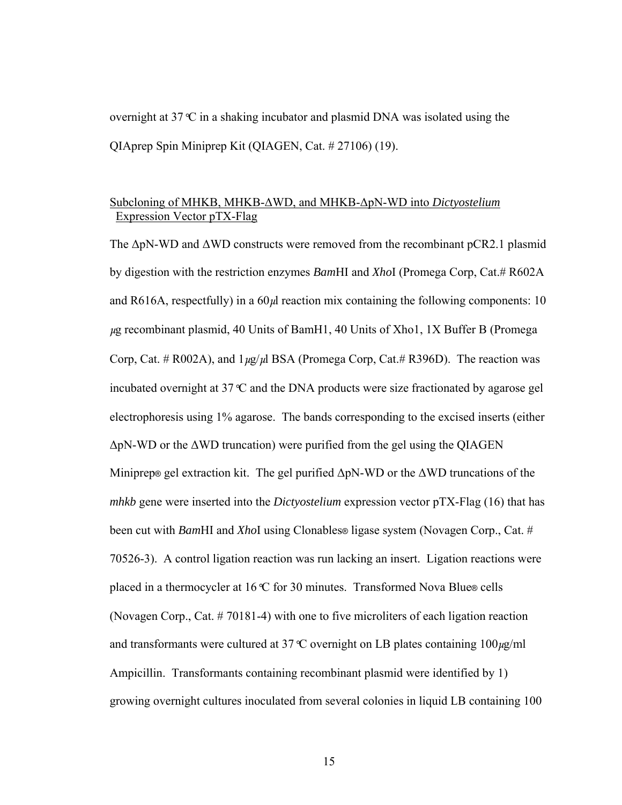overnight at 37*°*C in a shaking incubator and plasmid DNA was isolated using the QIAprep Spin Miniprep Kit (QIAGEN, Cat. # 27106) (19).

# Subcloning of MHKB, MHKB-ΔWD, and MHKB-ΔpN-WD into *Dictyostelium* Expression Vector pTX-Flag

The  $\Delta p$ N-WD and  $\Delta W$ D constructs were removed from the recombinant pCR2.1 plasmid by digestion with the restriction enzymes *Bam*HI and *Xho*I (Promega Corp, Cat.# R602A and R616A, respectfully) in a  $60\mu$  reaction mix containing the following components: 10  $\mu$ g recombinant plasmid, 40 Units of BamH1, 40 Units of Xho1, 1X Buffer B (Promega Corp, Cat. # R002A), and  $1 \mu g / \mu l$  BSA (Promega Corp, Cat.# R396D). The reaction was incubated overnight at 37*°*C and the DNA products were size fractionated by agarose gel electrophoresis using 1% agarose. The bands corresponding to the excised inserts (either ΔpN-WD or the ΔWD truncation) were purified from the gel using the QIAGEN Miniprep® gel extraction kit. The gel purified  $\Delta pN-WD$  or the  $\Delta WD$  truncations of the *mhkb* gene were inserted into the *Dictyostelium* expression vector pTX-Flag (16) that has been cut with *Bam*HI and *Xho*I using Clonables® ligase system (Novagen Corp., Cat. # 70526-3). A control ligation reaction was run lacking an insert. Ligation reactions were placed in a thermocycler at 16*°*C for 30 minutes. Transformed Nova Blue® cells (Novagen Corp., Cat. # 70181-4) with one to five microliters of each ligation reaction and transformants were cultured at 37  $\mathcal{C}$  overnight on LB plates containing 100 $\mu$ g/ml Ampicillin. Transformants containing recombinant plasmid were identified by 1) growing overnight cultures inoculated from several colonies in liquid LB containing 100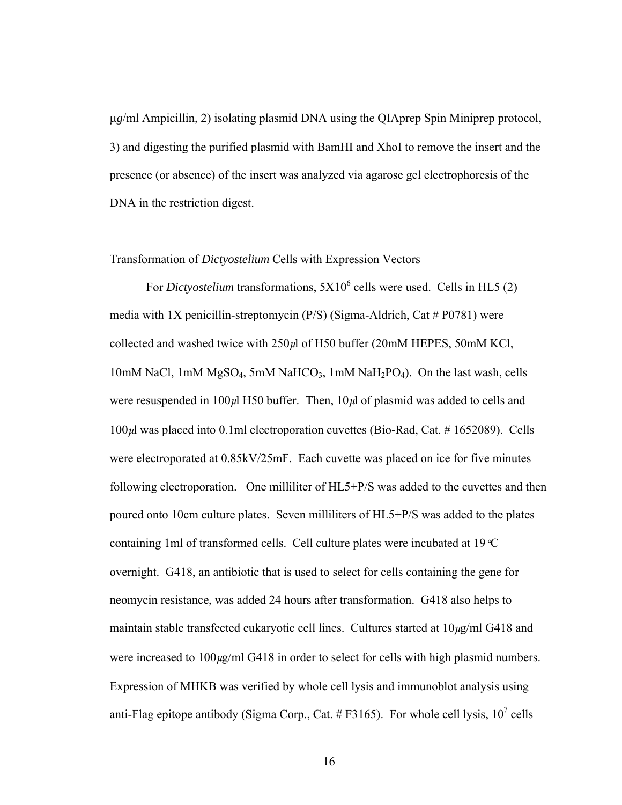μ*g*/ml Ampicillin, 2) isolating plasmid DNA using the QIAprep Spin Miniprep protocol, 3) and digesting the purified plasmid with BamHI and XhoI to remove the insert and the presence (or absence) of the insert was analyzed via agarose gel electrophoresis of the DNA in the restriction digest.

#### Transformation of *Dictyostelium* Cells with Expression Vectors

For *Dictyostelium* transformations,  $5X10^6$  cells were used. Cells in HL5 (2) media with 1X penicillin-streptomycin  $(P/S)$  (Sigma-Aldrich, Cat # P0781) were collected and washed twice with  $250\mu$  of H50 buffer (20mM HEPES, 50mM KCl, 10mM NaCl, 1mM  $MgSO_4$ , 5mM NaHCO<sub>3</sub>, 1mM NaH<sub>2</sub>PO<sub>4</sub>). On the last wash, cells were resuspended in 100 $\mu$ l H50 buffer. Then, 10 $\mu$ l of plasmid was added to cells and  $100\mu$ l was placed into 0.1ml electroporation cuvettes (Bio-Rad, Cat. #1652089). Cells were electroporated at 0.85kV/25mF. Each cuvette was placed on ice for five minutes following electroporation. One milliliter of HL5+P/S was added to the cuvettes and then poured onto 10cm culture plates. Seven milliliters of HL5+P/S was added to the plates containing 1ml of transformed cells. Cell culture plates were incubated at 19*°*C overnight. G418, an antibiotic that is used to select for cells containing the gene for neomycin resistance, was added 24 hours after transformation. G418 also helps to maintain stable transfected eukaryotic cell lines. Cultures started at  $10\mu g/ml$  G418 and were increased to  $100\mu g/ml$  G418 in order to select for cells with high plasmid numbers. Expression of MHKB was verified by whole cell lysis and immunoblot analysis using anti-Flag epitope antibody (Sigma Corp., Cat.  $#F3165$ ). For whole cell lysis,  $10^7$  cells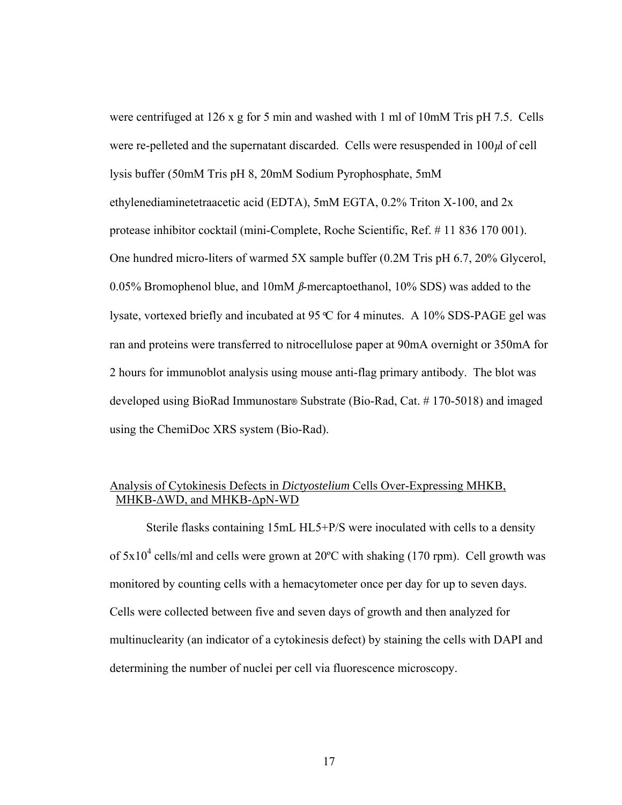were centrifuged at 126 x g for 5 min and washed with 1 ml of 10mM Tris pH 7.5. Cells were re-pelleted and the supernatant discarded. Cells were resuspended in  $100\mu$  of cell lysis buffer (50mM Tris pH 8, 20mM Sodium Pyrophosphate, 5mM ethylenediaminetetraacetic acid (EDTA), 5mM EGTA, 0.2% Triton X-100, and 2x protease inhibitor cocktail (mini-Complete, Roche Scientific, Ref. # 11 836 170 001). One hundred micro-liters of warmed 5X sample buffer (0.2M Tris pH 6.7, 20% Glycerol, 0.05% Bromophenol blue, and 10mM  $\beta$ -mercaptoethanol, 10% SDS) was added to the lysate, vortexed briefly and incubated at 95*°*C for 4 minutes. A 10% SDS-PAGE gel was ran and proteins were transferred to nitrocellulose paper at 90mA overnight or 350mA for 2 hours for immunoblot analysis using mouse anti-flag primary antibody. The blot was developed using BioRad Immunostar® Substrate (Bio-Rad, Cat. # 170-5018) and imaged using the ChemiDoc XRS system (Bio-Rad).

# Analysis of Cytokinesis Defects in *Dictyostelium* Cells Over-Expressing MHKB, MHKB-ΔWD, and MHKB-ΔpN-WD

 Sterile flasks containing 15mL HL5+P/S were inoculated with cells to a density of  $5x10^4$  cells/ml and cells were grown at  $20^{\circ}$ C with shaking (170 rpm). Cell growth was monitored by counting cells with a hemacytometer once per day for up to seven days. Cells were collected between five and seven days of growth and then analyzed for multinuclearity (an indicator of a cytokinesis defect) by staining the cells with DAPI and determining the number of nuclei per cell via fluorescence microscopy.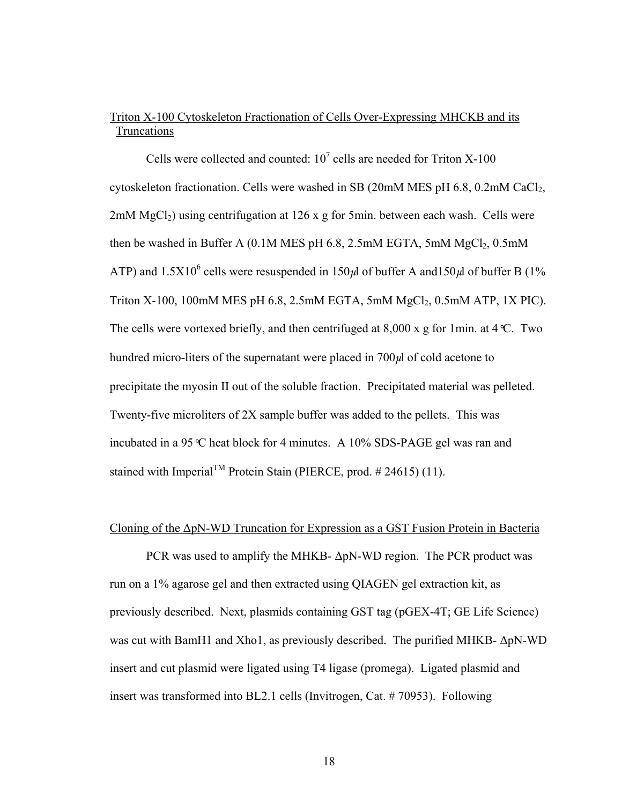# Triton X-100 Cytoskeleton Fractionation of Cells Over-Expressing MHCKB and its Truncations

Cells were collected and counted:  $10^7$  cells are needed for Triton X-100 cytoskeleton fractionation. Cells were washed in SB (20mM MES pH 6.8, 0.2mM CaCl<sub>2</sub>, 2mM  $MgCl<sub>2</sub>$ ) using centrifugation at 126 x g for 5min. between each wash. Cells were then be washed in Buffer A  $(0.1M$  MES pH 6.8, 2.5mM EGTA, 5mM  $MgCl<sub>2</sub>$ , 0.5mM ATP) and 1.5X10<sup>6</sup> cells were resuspended in 150 $\mu$ l of buffer A and150 $\mu$ l of buffer B (1% Triton X-100, 100mM MES pH 6.8, 2.5mM EGTA, 5mM  $MgCl<sub>2</sub>$ , 0.5mM ATP, 1X PIC). The cells were vortexed briefly, and then centrifuged at 8,000 x g for 1min. at 4*°*C. Two hundred micro-liters of the supernatant were placed in 700μl of cold acetone to precipitate the myosin II out of the soluble fraction. Precipitated material was pelleted. Twenty-five microliters of 2X sample buffer was added to the pellets. This was incubated in a 95*°*C heat block for 4 minutes. A 10% SDS-PAGE gel was ran and stained with Imperial<sup>TM</sup> Protein Stain (PIERCE, prod. # 24615) (11).

## Cloning of the ΔpN-WD Truncation for Expression as a GST Fusion Protein in Bacteria

PCR was used to amplify the MHKB-  $\Delta p$ N-WD region. The PCR product was run on a 1% agarose gel and then extracted using QIAGEN gel extraction kit, as previously described. Next, plasmids containing GST tag (pGEX-4T; GE Life Science) was cut with BamH1 and Xho1, as previously described. The purified MHKB- ΔpN-WD insert and cut plasmid were ligated using T4 ligase (promega). Ligated plasmid and insert was transformed into BL2.1 cells (Invitrogen, Cat. # 70953). Following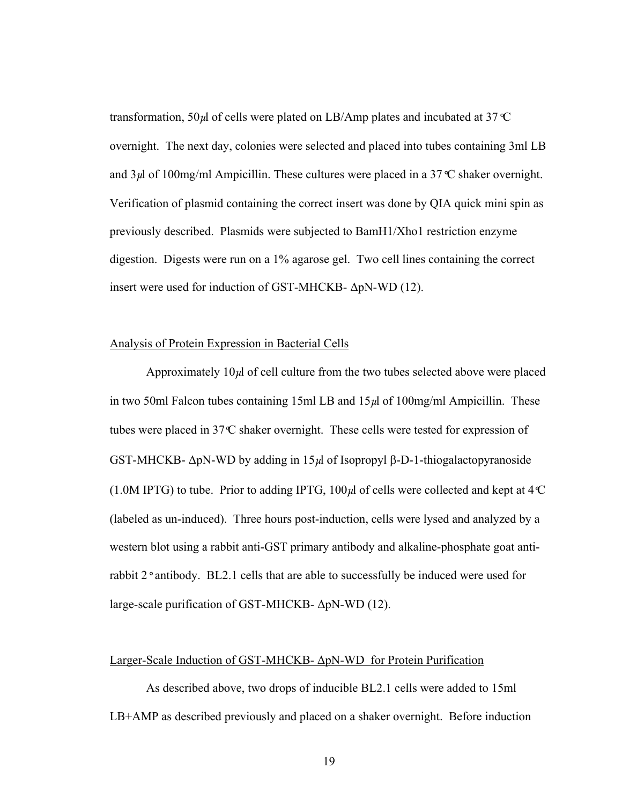transformation, 50μl of cells were plated on LB/Amp plates and incubated at 37*°*C overnight. The next day, colonies were selected and placed into tubes containing 3ml LB and  $3\mu$  of 100mg/ml Ampicillin. These cultures were placed in a 37<sup>°</sup>C shaker overnight. Verification of plasmid containing the correct insert was done by QIA quick mini spin as previously described. Plasmids were subjected to BamH1/Xho1 restriction enzyme digestion. Digests were run on a 1% agarose gel. Two cell lines containing the correct insert were used for induction of GST-MHCKB- ΔpN-WD (12).

### Analysis of Protein Expression in Bacterial Cells

Approximately  $10\mu$  of cell culture from the two tubes selected above were placed in two 50ml Falcon tubes containing 15ml LB and  $15\mu$  of 100mg/ml Ampicillin. These tubes were placed in 37*º*C shaker overnight. These cells were tested for expression of GST-MHCKB- ΔpN-WD by adding in 15μl of Isopropyl β-D-1-thiogalactopyranoside (1.0M IPTG) to tube. Prior to adding IPTG, 100μl of cells were collected and kept at 4*º*C (labeled as un-induced). Three hours post-induction, cells were lysed and analyzed by a western blot using a rabbit anti-GST primary antibody and alkaline-phosphate goat antirabbit 2*°* antibody. BL2.1 cells that are able to successfully be induced were used for large-scale purification of GST-MHCKB- ΔpN-WD (12).

### Larger-Scale Induction of GST-MHCKB- ΔpN-WD for Protein Purification

As described above, two drops of inducible BL2.1 cells were added to 15ml LB+AMP as described previously and placed on a shaker overnight. Before induction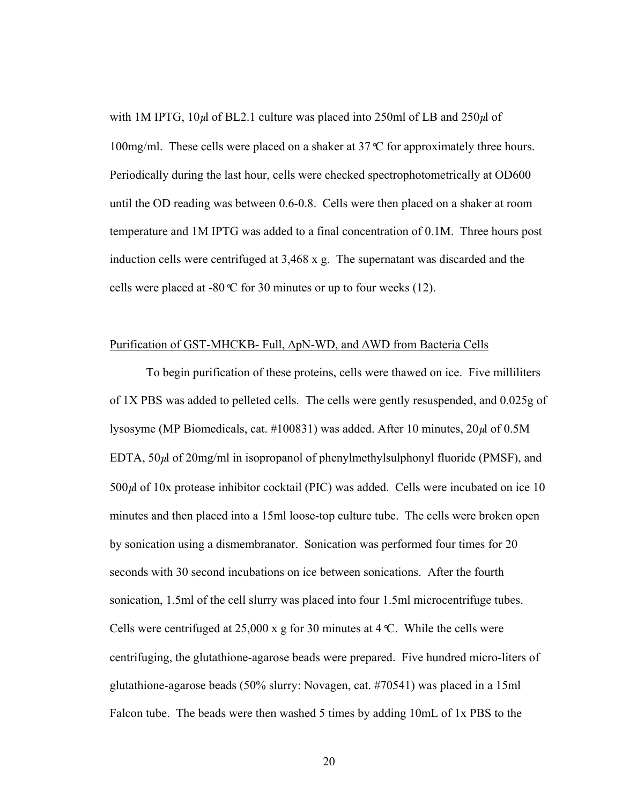with 1M IPTG,  $10\mu$ l of BL2.1 culture was placed into 250ml of LB and 250 $\mu$ l of 100mg/ml. These cells were placed on a shaker at 37*°*C for approximately three hours. Periodically during the last hour, cells were checked spectrophotometrically at OD600 until the OD reading was between 0.6-0.8. Cells were then placed on a shaker at room temperature and 1M IPTG was added to a final concentration of 0.1M. Three hours post induction cells were centrifuged at 3,468 x g. The supernatant was discarded and the cells were placed at -80*°*C for 30 minutes or up to four weeks (12).

### Purification of GST-MHCKB- Full, ΔpN-WD, and ΔWD from Bacteria Cells

 To begin purification of these proteins, cells were thawed on ice. Five milliliters of 1X PBS was added to pelleted cells. The cells were gently resuspended, and 0.025g of lysosyme (MP Biomedicals, cat. #100831) was added. After 10 minutes,  $20\mu$ l of 0.5M EDTA,  $50\mu$  of  $20\text{mg/ml}$  in isopropanol of phenylmethylsulphonyl fluoride (PMSF), and  $500\mu$ l of 10x protease inhibitor cocktail (PIC) was added. Cells were incubated on ice 10 minutes and then placed into a 15ml loose-top culture tube. The cells were broken open by sonication using a dismembranator. Sonication was performed four times for 20 seconds with 30 second incubations on ice between sonications. After the fourth sonication, 1.5ml of the cell slurry was placed into four 1.5ml microcentrifuge tubes. Cells were centrifuged at 25,000 x g for 30 minutes at 4*°*C. While the cells were centrifuging, the glutathione-agarose beads were prepared. Five hundred micro-liters of glutathione-agarose beads (50% slurry: Novagen, cat. #70541) was placed in a 15ml Falcon tube. The beads were then washed 5 times by adding 10mL of 1x PBS to the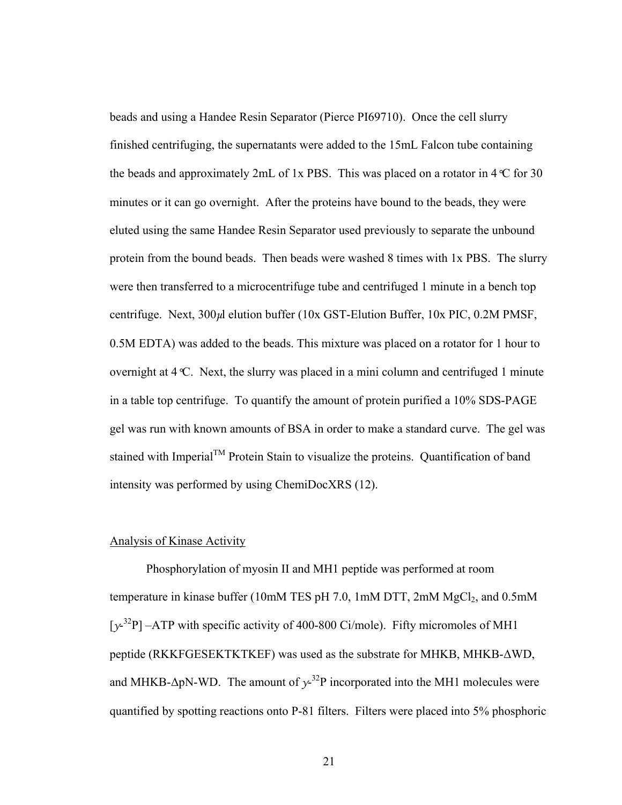beads and using a Handee Resin Separator (Pierce PI69710). Once the cell slurry finished centrifuging, the supernatants were added to the 15mL Falcon tube containing the beads and approximately 2mL of 1x PBS. This was placed on a rotator in  $4 \text{ }^{\circ}$  C for 30 minutes or it can go overnight. After the proteins have bound to the beads, they were eluted using the same Handee Resin Separator used previously to separate the unbound protein from the bound beads. Then beads were washed 8 times with 1x PBS. The slurry were then transferred to a microcentrifuge tube and centrifuged 1 minute in a bench top centrifuge. Next, 300μl elution buffer (10x GST-Elution Buffer, 10x PIC, 0.2M PMSF, 0.5M EDTA) was added to the beads. This mixture was placed on a rotator for 1 hour to overnight at 4*°*C. Next, the slurry was placed in a mini column and centrifuged 1 minute in a table top centrifuge. To quantify the amount of protein purified a 10% SDS-PAGE gel was run with known amounts of BSA in order to make a standard curve. The gel was stained with Imperial<sup>TM</sup> Protein Stain to visualize the proteins. Quantification of band intensity was performed by using ChemiDocXRS (12).

## Analysis of Kinase Activity

Phosphorylation of myosin II and MH1 peptide was performed at room temperature in kinase buffer (10mM TES pH 7.0, 1mM DTT, 2mM  $MgCl<sub>2</sub>$ , and 0.5mM [ $y^2$ <sup>32</sup>P] –ATP with specific activity of 400-800 Ci/mole). Fifty micromoles of MH1 peptide (RKKFGESEKTKTKEF) was used as the substrate for MHKB, MHKB-ΔWD, and MHKB- $\Delta p$ N-WD. The amount of  $y^{-32}P$  incorporated into the MH1 molecules were quantified by spotting reactions onto P-81 filters. Filters were placed into 5% phosphoric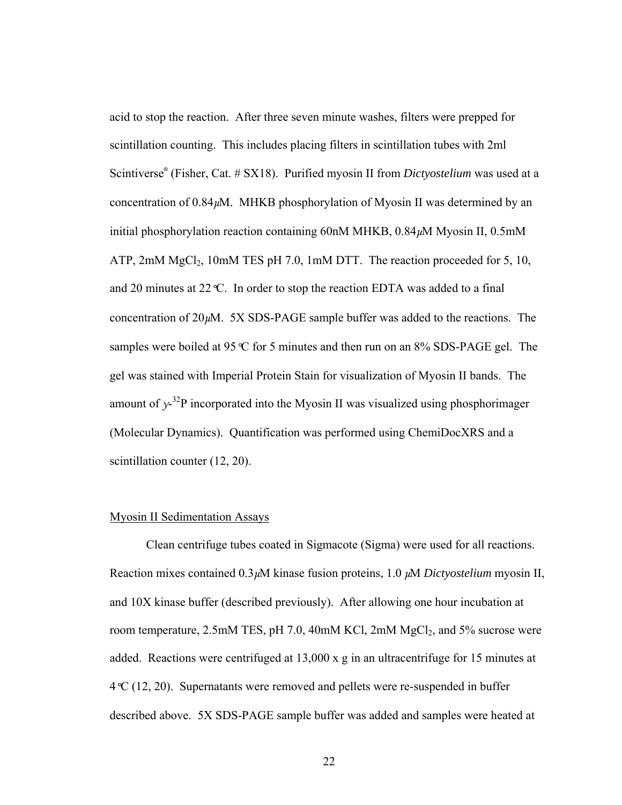acid to stop the reaction. After three seven minute washes, filters were prepped for scintillation counting. This includes placing filters in scintillation tubes with 2ml Scintiverse® (Fisher, Cat. # SX18). Purified myosin II from *Dictyostelium* was used at a concentration of  $0.84 \mu$ M. MHKB phosphorylation of Myosin II was determined by an initial phosphorylation reaction containing 60nM MHKB, 0.84μM Myosin II, 0.5mM ATP,  $2mM MgCl<sub>2</sub>$ ,  $10mM TES pH 7.0$ ,  $1mM DTT$ . The reaction proceeded for 5, 10, and 20 minutes at 22*°*C. In order to stop the reaction EDTA was added to a final concentration of  $20\mu$ M. 5X SDS-PAGE sample buffer was added to the reactions. The samples were boiled at 95*°*C for 5 minutes and then run on an 8% SDS-PAGE gel. The gel was stained with Imperial Protein Stain for visualization of Myosin II bands. The amount of  $y^{-32}P$  incorporated into the Myosin II was visualized using phosphorimager (Molecular Dynamics). Quantification was performed using ChemiDocXRS and a scintillation counter (12, 20).

## Myosin II Sedimentation Assays

 Clean centrifuge tubes coated in Sigmacote (Sigma) were used for all reactions. Reaction mixes contained 0.3μM kinase fusion proteins, 1.0 μM *Dictyostelium* myosin II, and 10X kinase buffer (described previously). After allowing one hour incubation at room temperature,  $2.5$ mM TES, pH 7.0, 40mM KCl,  $2$ mM MgCl<sub>2</sub>, and 5% sucrose were added. Reactions were centrifuged at 13,000 x g in an ultracentrifuge for 15 minutes at 4*°*C (12, 20). Supernatants were removed and pellets were re-suspended in buffer described above. 5X SDS-PAGE sample buffer was added and samples were heated at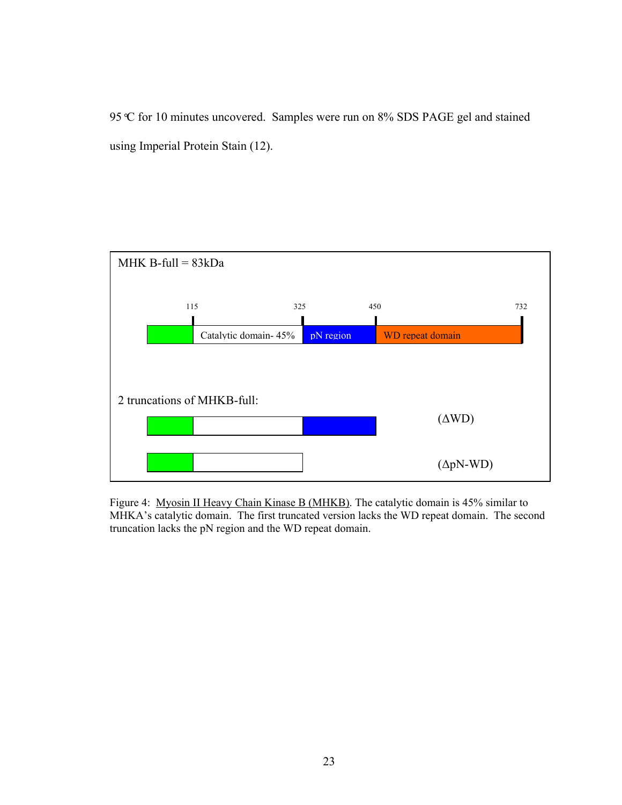95*°*C for 10 minutes uncovered. Samples were run on 8% SDS PAGE gel and stained using Imperial Protein Stain (12).



Figure 4: Myosin II Heavy Chain Kinase B (MHKB). The catalytic domain is 45% similar to MHKA's catalytic domain. The first truncated version lacks the WD repeat domain. The second truncation lacks the pN region and the WD repeat domain.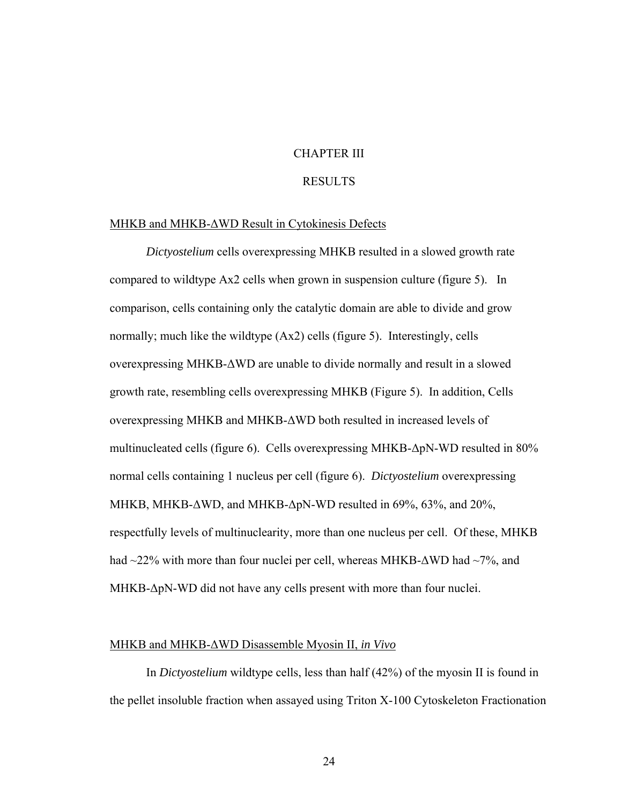## CHAPTER III

### RESULTS

### MHKB and MHKB-ΔWD Result in Cytokinesis Defects

*Dictyostelium* cells overexpressing MHKB resulted in a slowed growth rate compared to wildtype Ax2 cells when grown in suspension culture (figure 5). In comparison, cells containing only the catalytic domain are able to divide and grow normally; much like the wildtype (Ax2) cells (figure 5). Interestingly, cells overexpressing MHKB-ΔWD are unable to divide normally and result in a slowed growth rate, resembling cells overexpressing MHKB (Figure 5). In addition, Cells overexpressing MHKB and MHKB-ΔWD both resulted in increased levels of multinucleated cells (figure 6). Cells overexpressing MHKB-ΔpN-WD resulted in 80% normal cells containing 1 nucleus per cell (figure 6). *Dictyostelium* overexpressing MHKB, MHKB-ΔWD, and MHKB-ΔpN-WD resulted in 69%, 63%, and 20%, respectfully levels of multinuclearity, more than one nucleus per cell. Of these, MHKB had  $\sim$ 22% with more than four nuclei per cell, whereas MHKB- $\Delta$ WD had  $\sim$ 7%, and MHKB-ΔpN-WD did not have any cells present with more than four nuclei.

### MHKB and MHKB-ΔWD Disassemble Myosin II, *in Vivo*

In *Dictyostelium* wildtype cells, less than half (42%) of the myosin II is found in the pellet insoluble fraction when assayed using Triton X-100 Cytoskeleton Fractionation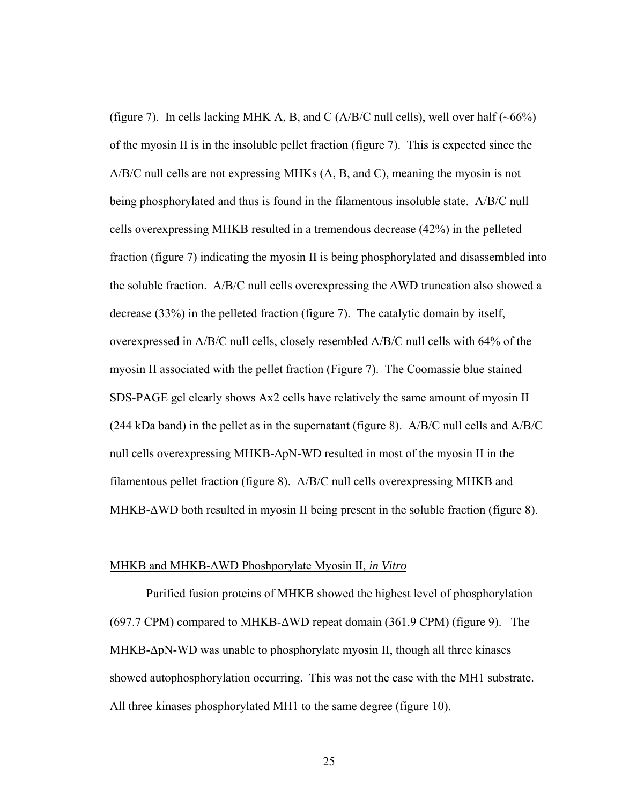(figure 7). In cells lacking MHK A, B, and C (A/B/C null cells), well over half  $(\sim 66\%)$ of the myosin II is in the insoluble pellet fraction (figure 7). This is expected since the A/B/C null cells are not expressing MHKs (A, B, and C), meaning the myosin is not being phosphorylated and thus is found in the filamentous insoluble state. A/B/C null cells overexpressing MHKB resulted in a tremendous decrease (42%) in the pelleted fraction (figure 7) indicating the myosin II is being phosphorylated and disassembled into the soluble fraction. A/B/C null cells overexpressing the ΔWD truncation also showed a decrease (33%) in the pelleted fraction (figure 7). The catalytic domain by itself, overexpressed in A/B/C null cells, closely resembled A/B/C null cells with 64% of the myosin II associated with the pellet fraction (Figure 7). The Coomassie blue stained SDS-PAGE gel clearly shows Ax2 cells have relatively the same amount of myosin II (244 kDa band) in the pellet as in the supernatant (figure 8). A/B/C null cells and A/B/C null cells overexpressing MHKB-ΔpN-WD resulted in most of the myosin II in the filamentous pellet fraction (figure 8). A/B/C null cells overexpressing MHKB and MHKB- $\Delta$ WD both resulted in myosin II being present in the soluble fraction (figure 8).

### MHKB and MHKB-ΔWD Phoshporylate Myosin II, *in Vitro*

 Purified fusion proteins of MHKB showed the highest level of phosphorylation (697.7 CPM) compared to MHKB-ΔWD repeat domain (361.9 CPM) (figure 9). The MHKB-ΔpN-WD was unable to phosphorylate myosin II, though all three kinases showed autophosphorylation occurring. This was not the case with the MH1 substrate. All three kinases phosphorylated MH1 to the same degree (figure 10).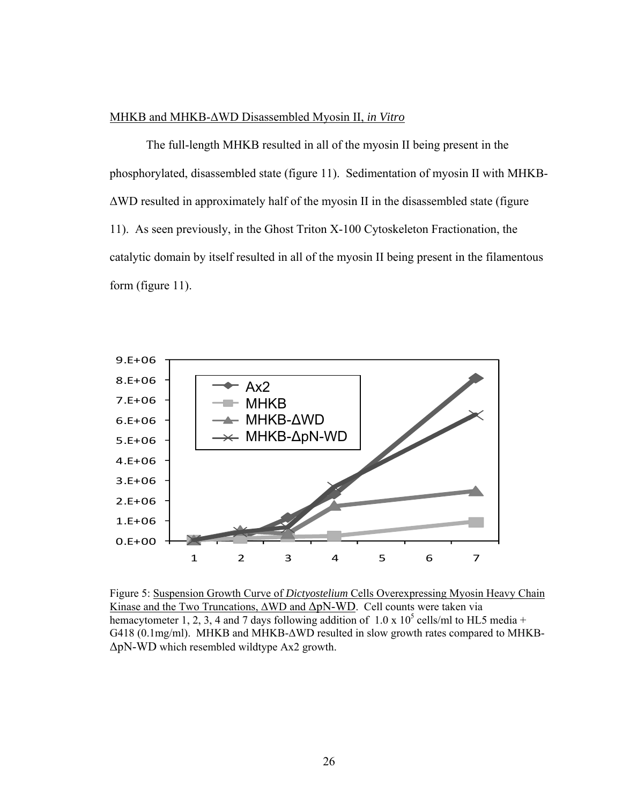## MHKB and MHKB-ΔWD Disassembled Myosin II, *in Vitro*

 The full-length MHKB resulted in all of the myosin II being present in the phosphorylated, disassembled state (figure 11). Sedimentation of myosin II with MHKB-ΔWD resulted in approximately half of the myosin II in the disassembled state (figure 11). As seen previously, in the Ghost Triton X-100 Cytoskeleton Fractionation, the catalytic domain by itself resulted in all of the myosin II being present in the filamentous form (figure 11).



Figure 5: Suspension Growth Curve of *Dictyostelium* Cells Overexpressing Myosin Heavy Chain Kinase and the Two Truncations,  $\triangle WD$  and  $\triangle pN-WD$ . Cell counts were taken via hemacytometer 1, 2, 3, 4 and 7 days following addition of  $1.0 \times 10^5$  cells/ml to HL5 media + G418 (0.1mg/ml). MHKB and MHKB-ΔWD resulted in slow growth rates compared to MHKB-ΔpN-WD which resembled wildtype Ax2 growth.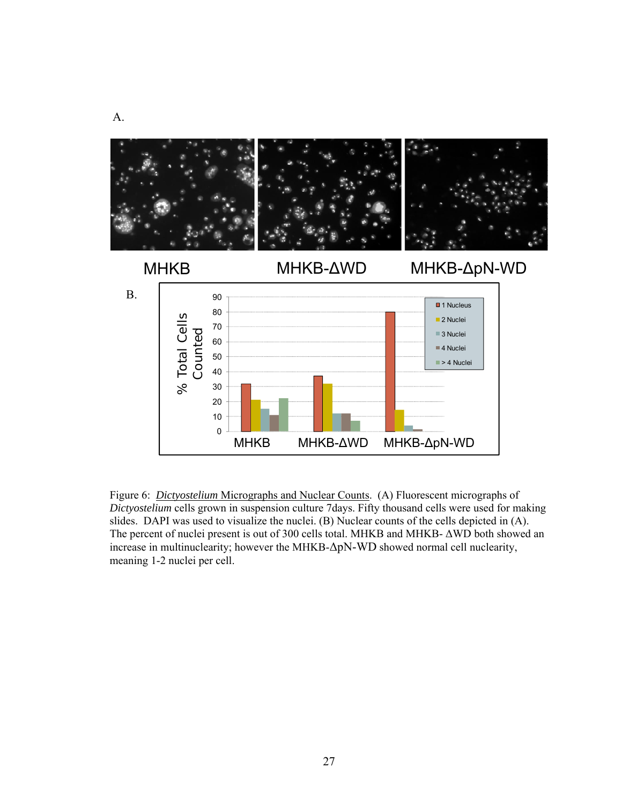

Figure 6: *Dictyostelium* Micrographs and Nuclear Counts. (A) Fluorescent micrographs of *Dictyostelium* cells grown in suspension culture 7days. Fifty thousand cells were used for making slides. DAPI was used to visualize the nuclei. (B) Nuclear counts of the cells depicted in (A). The percent of nuclei present is out of 300 cells total. MHKB and MHKB- ΔWD both showed an increase in multinuclearity; however the MHKB-ΔpN-WD showed normal cell nuclearity, meaning 1-2 nuclei per cell.

A.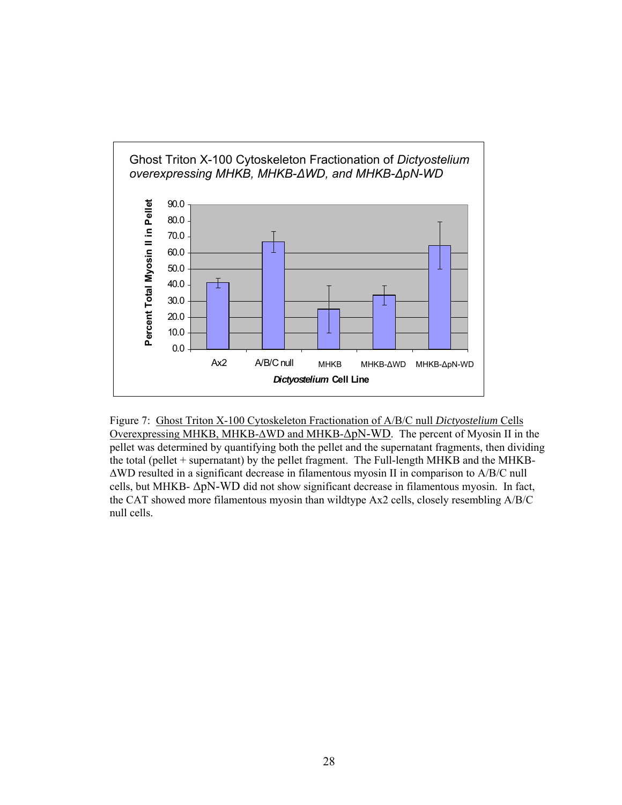

Figure 7: Ghost Triton X-100 Cytoskeleton Fractionation of A/B/C null *Dictyostelium* Cells Overexpressing MHKB, MHKB-ΔWD and MHKB-ΔpN-WD. The percent of Myosin II in the pellet was determined by quantifying both the pellet and the supernatant fragments, then dividing the total (pellet + supernatant) by the pellet fragment. The Full-length MHKB and the MHKB-ΔWD resulted in a significant decrease in filamentous myosin II in comparison to A/B/C null cells, but MHKB- ΔpN-WD did not show significant decrease in filamentous myosin. In fact, the CAT showed more filamentous myosin than wildtype Ax2 cells, closely resembling A/B/C null cells.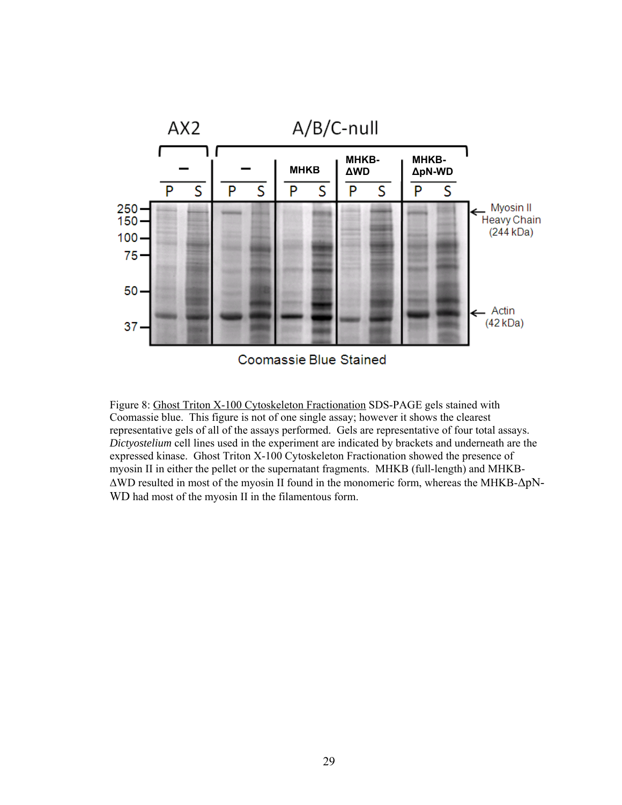

Coomassie Blue Stained

Figure 8: Ghost Triton X-100 Cytoskeleton Fractionation SDS-PAGE gels stained with Coomassie blue. This figure is not of one single assay; however it shows the clearest representative gels of all of the assays performed. Gels are representative of four total assays. *Dictyostelium* cell lines used in the experiment are indicated by brackets and underneath are the expressed kinase. Ghost Triton X-100 Cytoskeleton Fractionation showed the presence of myosin II in either the pellet or the supernatant fragments. MHKB (full-length) and MHKB-ΔWD resulted in most of the myosin II found in the monomeric form, whereas the MHKB-ΔpN-WD had most of the myosin II in the filamentous form.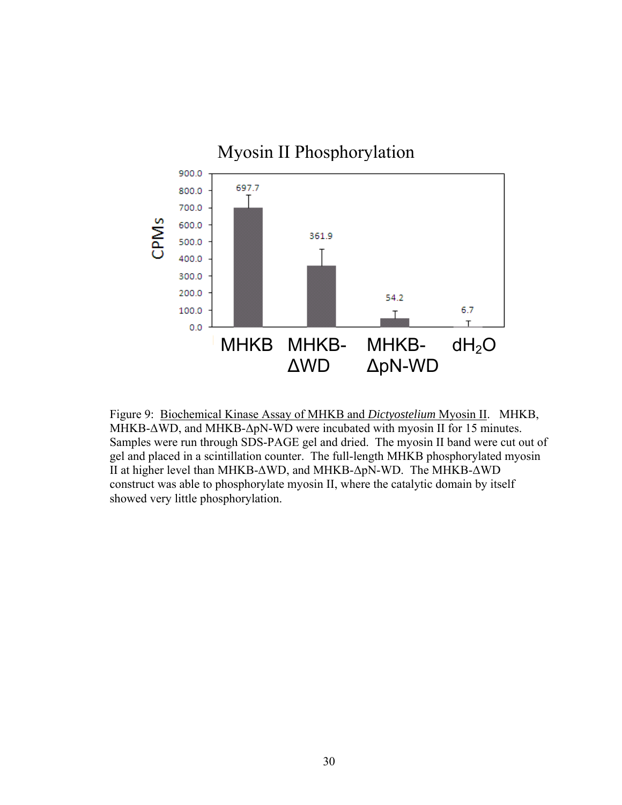

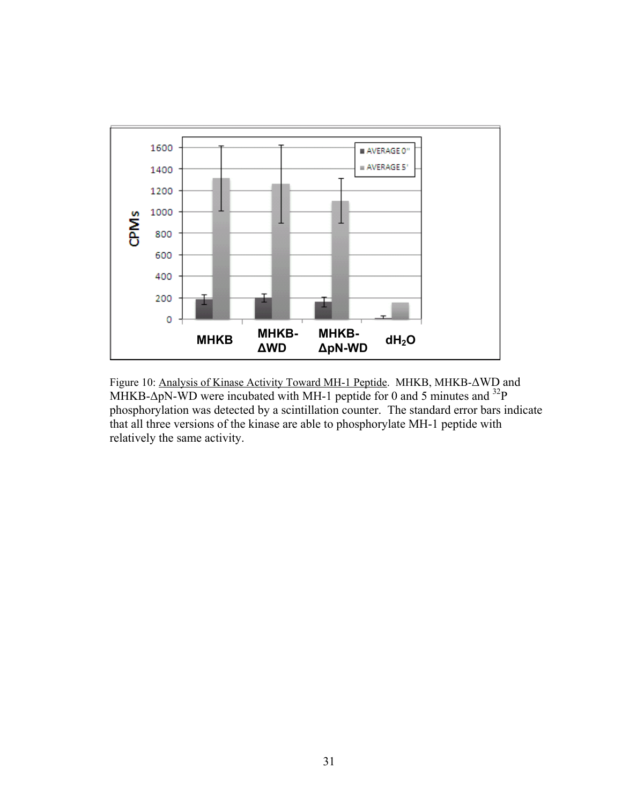

Figure 10: Analysis of Kinase Activity Toward MH-1 Peptide. MHKB, MHKB-ΔWD and MHKB- $\Delta p$ N-WD were incubated with MH-1 peptide for 0 and 5 minutes and <sup>32</sup>P phosphorylation was detected by a scintillation counter. The standard error bars indicate that all three versions of the kinase are able to phosphorylate MH-1 peptide with relatively the same activity.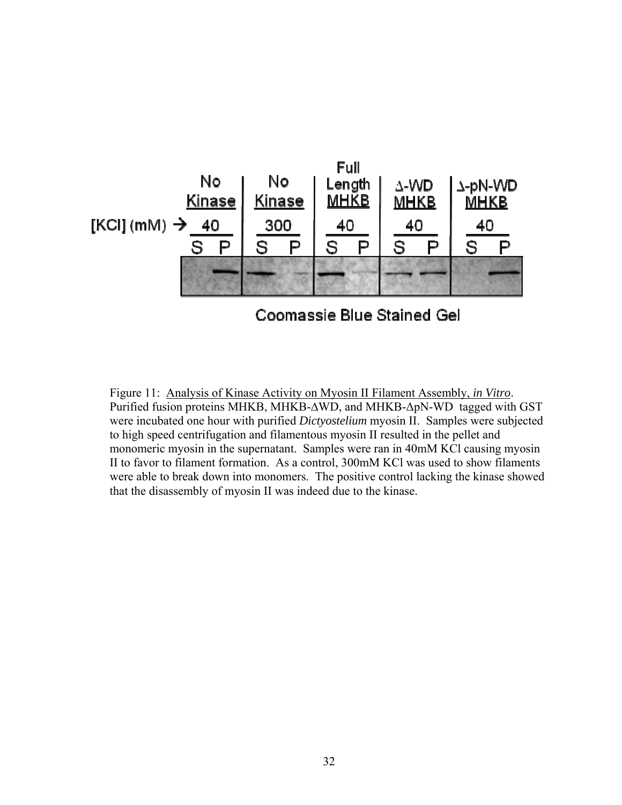

Figure 11: Analysis of Kinase Activity on Myosin II Filament Assembly, *in Vitro*. Purified fusion proteins MHKB, MHKB-∆WD, and MHKB-ΔpN-WD tagged with GST were incubated one hour with purified *Dictyostelium* myosin II. Samples were subjected to high speed centrifugation and filamentous myosin II resulted in the pellet and monomeric myosin in the supernatant. Samples were ran in 40mM KCl causing myosin II to favor to filament formation. As a control, 300mM KCl was used to show filaments were able to break down into monomers. The positive control lacking the kinase showed that the disassembly of myosin II was indeed due to the kinase.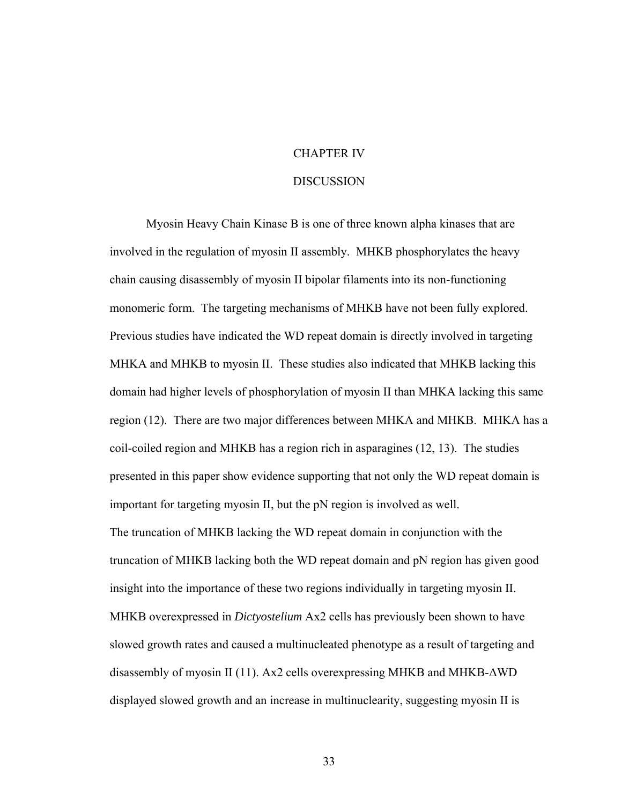## CHAPTER IV

### DISCUSSION

 Myosin Heavy Chain Kinase B is one of three known alpha kinases that are involved in the regulation of myosin II assembly. MHKB phosphorylates the heavy chain causing disassembly of myosin II bipolar filaments into its non-functioning monomeric form. The targeting mechanisms of MHKB have not been fully explored. Previous studies have indicated the WD repeat domain is directly involved in targeting MHKA and MHKB to myosin II. These studies also indicated that MHKB lacking this domain had higher levels of phosphorylation of myosin II than MHKA lacking this same region (12). There are two major differences between MHKA and MHKB. MHKA has a coil-coiled region and MHKB has a region rich in asparagines (12, 13). The studies presented in this paper show evidence supporting that not only the WD repeat domain is important for targeting myosin II, but the pN region is involved as well. The truncation of MHKB lacking the WD repeat domain in conjunction with the truncation of MHKB lacking both the WD repeat domain and pN region has given good insight into the importance of these two regions individually in targeting myosin II. MHKB overexpressed in *Dictyostelium* Ax2 cells has previously been shown to have slowed growth rates and caused a multinucleated phenotype as a result of targeting and disassembly of myosin II (11). Ax2 cells overexpressing MHKB and MHKB-ΔWD displayed slowed growth and an increase in multinuclearity, suggesting myosin II is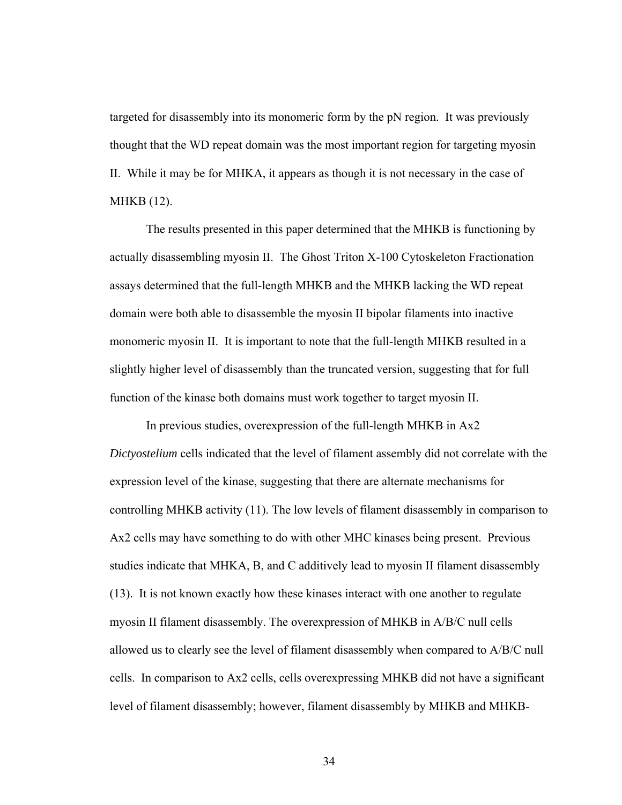targeted for disassembly into its monomeric form by the pN region. It was previously thought that the WD repeat domain was the most important region for targeting myosin II. While it may be for MHKA, it appears as though it is not necessary in the case of MHKB (12).

The results presented in this paper determined that the MHKB is functioning by actually disassembling myosin II. The Ghost Triton X-100 Cytoskeleton Fractionation assays determined that the full-length MHKB and the MHKB lacking the WD repeat domain were both able to disassemble the myosin II bipolar filaments into inactive monomeric myosin II. It is important to note that the full-length MHKB resulted in a slightly higher level of disassembly than the truncated version, suggesting that for full function of the kinase both domains must work together to target myosin II.

 In previous studies, overexpression of the full-length MHKB in Ax2 *Dictyostelium* cells indicated that the level of filament assembly did not correlate with the expression level of the kinase, suggesting that there are alternate mechanisms for controlling MHKB activity (11). The low levels of filament disassembly in comparison to Ax2 cells may have something to do with other MHC kinases being present. Previous studies indicate that MHKA, B, and C additively lead to myosin II filament disassembly (13). It is not known exactly how these kinases interact with one another to regulate myosin II filament disassembly. The overexpression of MHKB in A/B/C null cells allowed us to clearly see the level of filament disassembly when compared to A/B/C null cells. In comparison to Ax2 cells, cells overexpressing MHKB did not have a significant level of filament disassembly; however, filament disassembly by MHKB and MHKB-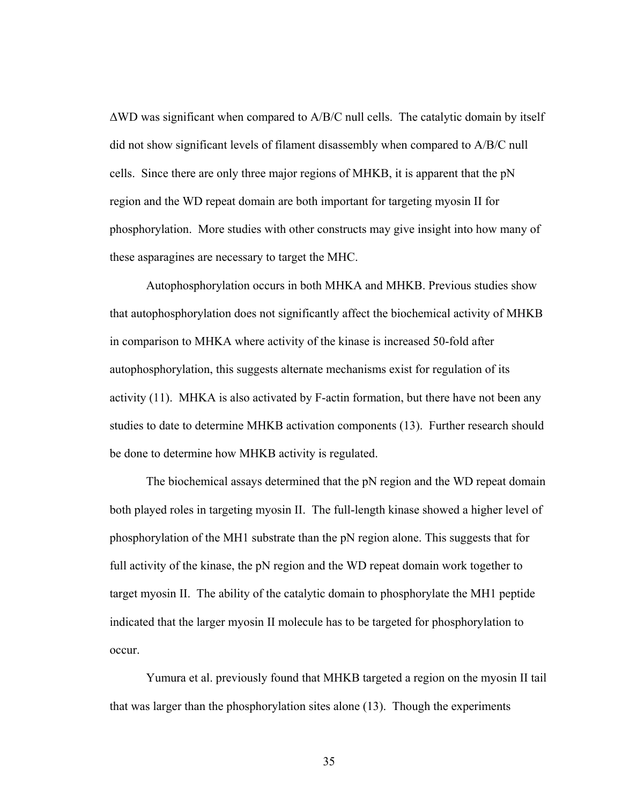$\triangle$ WD was significant when compared to A/B/C null cells. The catalytic domain by itself did not show significant levels of filament disassembly when compared to A/B/C null cells. Since there are only three major regions of MHKB, it is apparent that the pN region and the WD repeat domain are both important for targeting myosin II for phosphorylation. More studies with other constructs may give insight into how many of these asparagines are necessary to target the MHC.

 Autophosphorylation occurs in both MHKA and MHKB. Previous studies show that autophosphorylation does not significantly affect the biochemical activity of MHKB in comparison to MHKA where activity of the kinase is increased 50-fold after autophosphorylation, this suggests alternate mechanisms exist for regulation of its activity (11). MHKA is also activated by F-actin formation, but there have not been any studies to date to determine MHKB activation components (13). Further research should be done to determine how MHKB activity is regulated.

 The biochemical assays determined that the pN region and the WD repeat domain both played roles in targeting myosin II. The full-length kinase showed a higher level of phosphorylation of the MH1 substrate than the pN region alone. This suggests that for full activity of the kinase, the pN region and the WD repeat domain work together to target myosin II. The ability of the catalytic domain to phosphorylate the MH1 peptide indicated that the larger myosin II molecule has to be targeted for phosphorylation to occur.

 Yumura et al. previously found that MHKB targeted a region on the myosin II tail that was larger than the phosphorylation sites alone (13). Though the experiments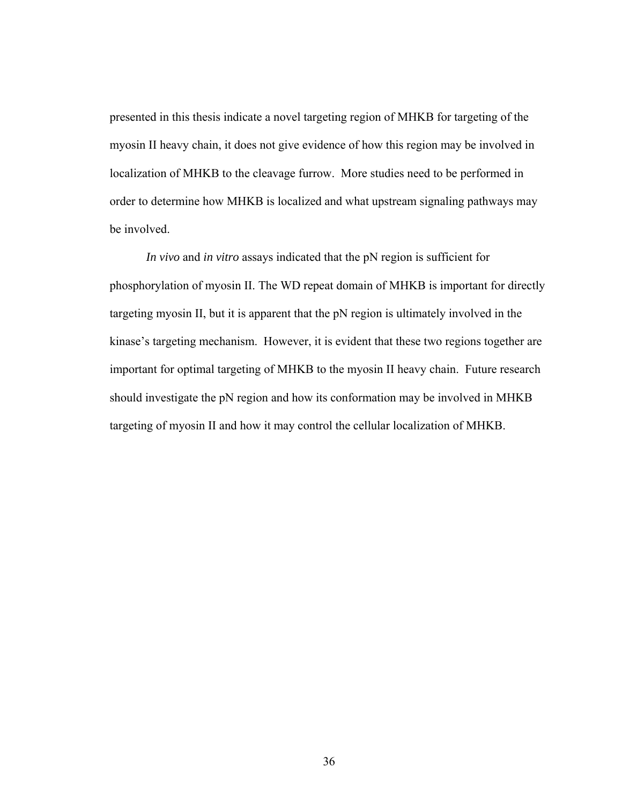presented in this thesis indicate a novel targeting region of MHKB for targeting of the myosin II heavy chain, it does not give evidence of how this region may be involved in localization of MHKB to the cleavage furrow. More studies need to be performed in order to determine how MHKB is localized and what upstream signaling pathways may be involved.

*In vivo* and *in vitro* assays indicated that the pN region is sufficient for phosphorylation of myosin II. The WD repeat domain of MHKB is important for directly targeting myosin II, but it is apparent that the pN region is ultimately involved in the kinase's targeting mechanism. However, it is evident that these two regions together are important for optimal targeting of MHKB to the myosin II heavy chain. Future research should investigate the pN region and how its conformation may be involved in MHKB targeting of myosin II and how it may control the cellular localization of MHKB.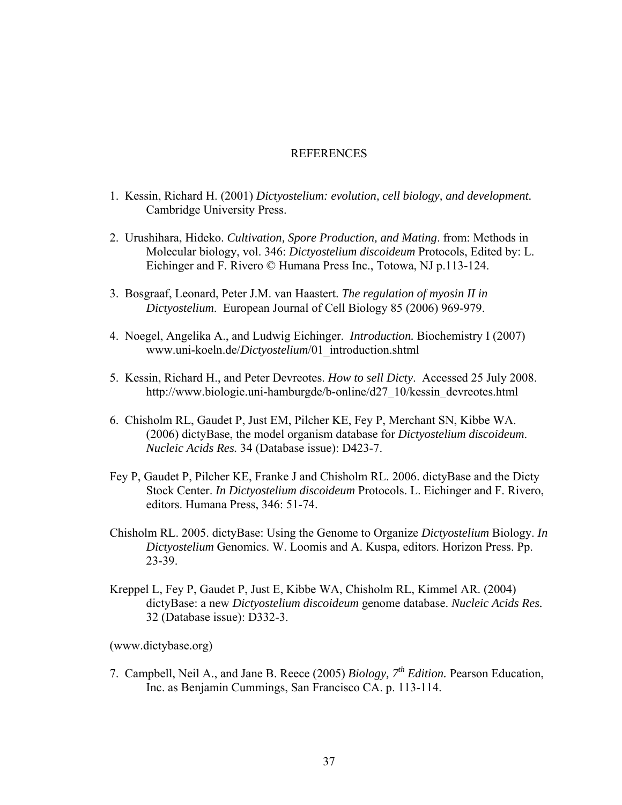### **REFERENCES**

- 1. Kessin, Richard H. (2001) *Dictyostelium: evolution, cell biology, and development.* Cambridge University Press.
- 2. Urushihara, Hideko. *Cultivation, Spore Production, and Mating*. from: Methods in Molecular biology, vol. 346: *Dictyostelium discoideum* Protocols, Edited by: L. Eichinger and F. Rivero © Humana Press Inc., Totowa, NJ p.113-124.
- 3. Bosgraaf, Leonard, Peter J.M. van Haastert. *The regulation of myosin II in Dictyostelium*. European Journal of Cell Biology 85 (2006) 969-979.
- 4. Noegel, Angelika A., and Ludwig Eichinger. *Introduction.* Biochemistry I (2007) www.uni-koeln.de/*Dictyostelium*/01\_introduction.shtml
- 5. Kessin, Richard H., and Peter Devreotes. *How to sell Dicty*. Accessed 25 July 2008. http://www.biologie.uni-hamburgde/b-online/d27\_10/kessin\_devreotes.html
- 6. Chisholm RL, Gaudet P, Just EM, Pilcher KE, Fey P, Merchant SN, Kibbe WA. (2006) dictyBase, the model organism database for *Dictyostelium discoideum*. *Nucleic Acids Res.* 34 (Database issue): D423-7.
- Fey P, Gaudet P, Pilcher KE, Franke J and Chisholm RL. 2006. dictyBase and the Dicty Stock Center. *In Dictyostelium discoideum* Protocols. L. Eichinger and F. Rivero, editors. Humana Press, 346: 51-74.
- Chisholm RL. 2005. dictyBase: Using the Genome to Organize *Dictyostelium* Biology. *In Dictyostelium* Genomics. W. Loomis and A. Kuspa, editors. Horizon Press. Pp. 23-39.
- Kreppel L, Fey P, Gaudet P, Just E, Kibbe WA, Chisholm RL, Kimmel AR. (2004) dictyBase: a new *Dictyostelium discoideum* genome database. *Nucleic Acids Res.* 32 (Database issue): D332-3.

(www.dictybase.org)

7. Campbell, Neil A., and Jane B. Reece (2005) *Biology, 7th Edition.* Pearson Education, Inc. as Benjamin Cummings, San Francisco CA. p. 113-114.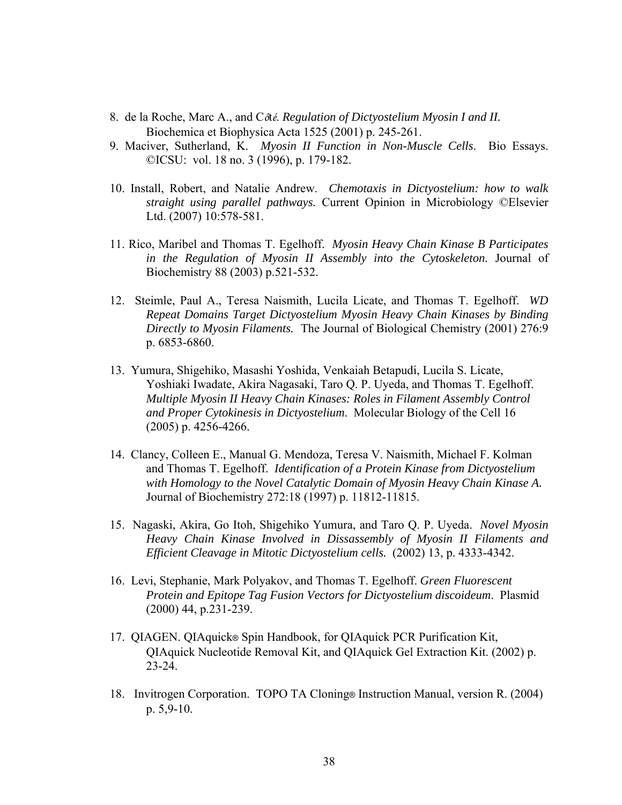- 8. de la Roche, Marc A., and C*ô*t*é*. *Regulation of Dictyostelium Myosin I and II.*  Biochemica et Biophysica Acta 1525 (2001) p. 245-261.
- 9. Maciver, Sutherland, K. *Myosin II Function in Non-Muscle Cells*. Bio Essays. ©ICSU: vol. 18 no. 3 (1996), p. 179-182.
- 10. Install, Robert, and Natalie Andrew. *Chemotaxis in Dictyostelium: how to walk straight using parallel pathways.* Current Opinion in Microbiology ©Elsevier Ltd. (2007) 10:578-581.
- 11. Rico, Maribel and Thomas T. Egelhoff. *Myosin Heavy Chain Kinase B Participates in the Regulation of Myosin II Assembly into the Cytoskeleton.* Journal of Biochemistry 88 (2003) p.521-532.
- 12. Steimle, Paul A., Teresa Naismith, Lucila Licate, and Thomas T. Egelhoff. *WD Repeat Domains Target Dictyostelium Myosin Heavy Chain Kinases by Binding Directly to Myosin Filaments.* The Journal of Biological Chemistry (2001) 276:9 p. 6853-6860.
- 13. Yumura, Shigehiko, Masashi Yoshida, Venkaiah Betapudi, Lucila S. Licate, Yoshiaki Iwadate, Akira Nagasaki, Taro Q. P. Uyeda, and Thomas T. Egelhoff. *Multiple Myosin II Heavy Chain Kinases: Roles in Filament Assembly Control and Proper Cytokinesis in Dictyostelium*. Molecular Biology of the Cell 16 (2005) p. 4256-4266.
- 14. Clancy, Colleen E., Manual G. Mendoza, Teresa V. Naismith, Michael F. Kolman and Thomas T. Egelhoff. *Identification of a Protein Kinase from Dictyostelium with Homology to the Novel Catalytic Domain of Myosin Heavy Chain Kinase A.*  Journal of Biochemistry 272:18 (1997) p. 11812-11815.
- 15. Nagaski, Akira, Go Itoh, Shigehiko Yumura, and Taro Q. P. Uyeda. *Novel Myosin Heavy Chain Kinase Involved in Dissassembly of Myosin II Filaments and Efficient Cleavage in Mitotic Dictyostelium cells.* (2002) 13, p. 4333-4342.
- 16. Levi, Stephanie, Mark Polyakov, and Thomas T. Egelhoff. *Green Fluorescent Protein and Epitope Tag Fusion Vectors for Dictyostelium discoideum*. Plasmid (2000) 44, p.231-239.
- 17. QIAGEN. QIAquick® Spin Handbook, for QIAquick PCR Purification Kit, QIAquick Nucleotide Removal Kit, and QIAquick Gel Extraction Kit. (2002) p. 23-24.
- 18. Invitrogen Corporation. TOPO TA Cloning® Instruction Manual, version R. (2004) p. 5,9-10.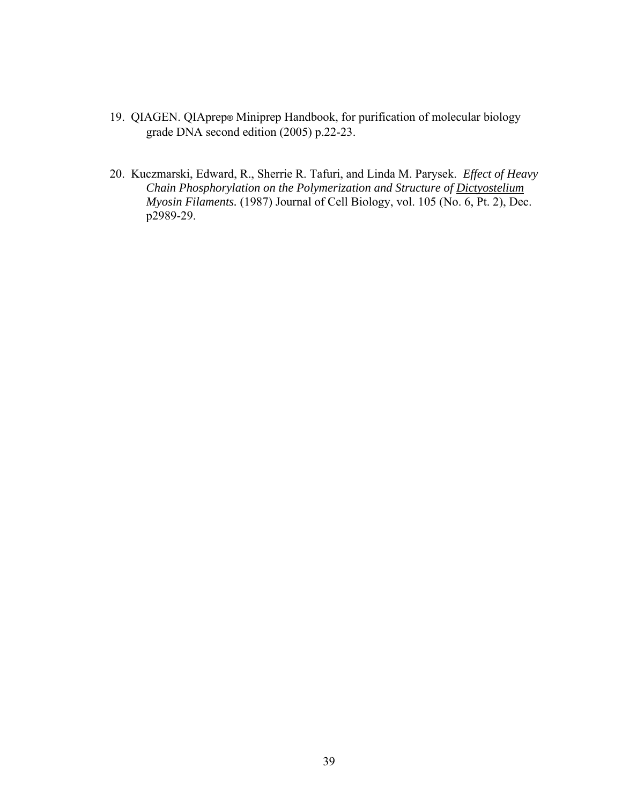- 19. QIAGEN. QIAprep® Miniprep Handbook, for purification of molecular biology grade DNA second edition (2005) p.22-23.
- 20. Kuczmarski, Edward, R., Sherrie R. Tafuri, and Linda M. Parysek. *Effect of Heavy Chain Phosphorylation on the Polymerization and Structure of Dictyostelium Myosin Filaments.* (1987) Journal of Cell Biology, vol. 105 (No. 6, Pt. 2), Dec. p2989-29.